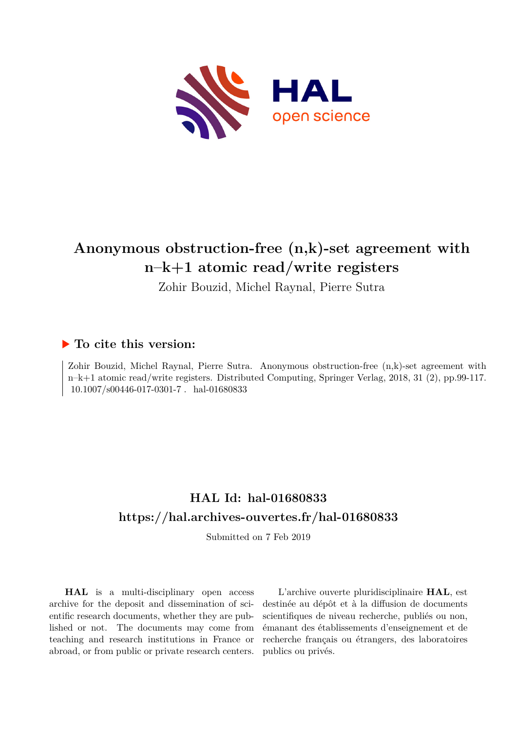

# **Anonymous obstruction-free (n,k)-set agreement with n–k+1 atomic read/write registers**

Zohir Bouzid, Michel Raynal, Pierre Sutra

# **To cite this version:**

Zohir Bouzid, Michel Raynal, Pierre Sutra. Anonymous obstruction-free (n,k)-set agreement with n–k+1 atomic read/write registers. Distributed Computing, Springer Verlag, 2018, 31 (2), pp.99-117.  $10.1007/s00446-017-0301-7$ . hal-01680833

# **HAL Id: hal-01680833 <https://hal.archives-ouvertes.fr/hal-01680833>**

Submitted on 7 Feb 2019

**HAL** is a multi-disciplinary open access archive for the deposit and dissemination of scientific research documents, whether they are published or not. The documents may come from teaching and research institutions in France or abroad, or from public or private research centers.

L'archive ouverte pluridisciplinaire **HAL**, est destinée au dépôt et à la diffusion de documents scientifiques de niveau recherche, publiés ou non, émanant des établissements d'enseignement et de recherche français ou étrangers, des laboratoires publics ou privés.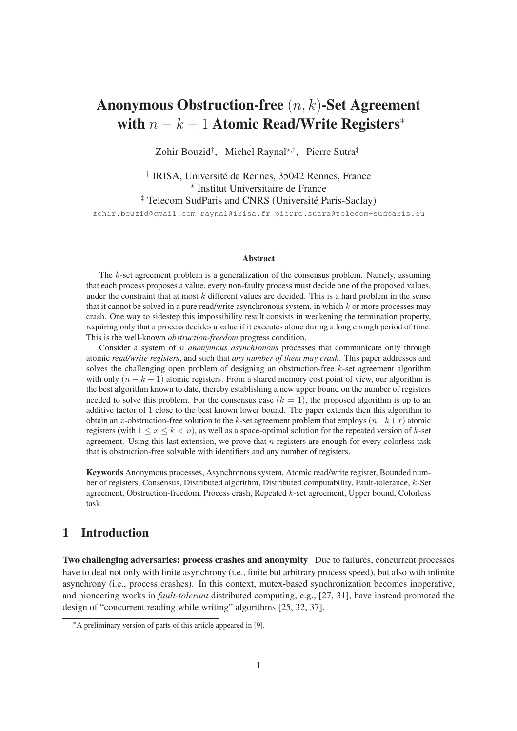# Anonymous Obstruction-free (n, k)-Set Agreement with  $n - k + 1$  Atomic Read/Write Registers<sup>\*</sup>

Zohir Bouzid<sup>†</sup>, Michel Raynal\*<sup>,†</sup>, Pierre Sutra<sup>‡</sup>

† IRISA, Université de Rennes, 35042 Rennes, France ⋆ Institut Universitaire de France ‡ Telecom SudParis and CNRS (Université Paris-Saclay) zohir.bouzid@gmail.com raynal@irisa.fr pierre.sutra@telecom-sudparis.eu

#### Abstract

The  $k$ -set agreement problem is a generalization of the consensus problem. Namely, assuming that each process proposes a value, every non-faulty process must decide one of the proposed values, under the constraint that at most  $k$  different values are decided. This is a hard problem in the sense that it cannot be solved in a pure read/write asynchronous system, in which  $k$  or more processes may crash. One way to sidestep this impossibility result consists in weakening the termination property, requiring only that a process decides a value if it executes alone during a long enough period of time. This is the well-known *obstruction-freedom* progress condition.

Consider a system of n *anonymous asynchronous* processes that communicate only through atomic *read/write registers*, and such that *any number of them may crash*. This paper addresses and solves the challenging open problem of designing an obstruction-free  $k$ -set agreement algorithm with only  $(n - k + 1)$  atomic registers. From a shared memory cost point of view, our algorithm is the best algorithm known to date, thereby establishing a new upper bound on the number of registers needed to solve this problem. For the consensus case  $(k = 1)$ , the proposed algorithm is up to an additive factor of 1 close to the best known lower bound. The paper extends then this algorithm to obtain an x-obstruction-free solution to the k-set agreement problem that employs  $(n-k+x)$  atomic registers (with  $1 \le x \le k < n$ ), as well as a space-optimal solution for the repeated version of k-set agreement. Using this last extension, we prove that  $n$  registers are enough for every colorless task that is obstruction-free solvable with identifiers and any number of registers.

Keywords Anonymous processes, Asynchronous system, Atomic read/write register, Bounded number of registers, Consensus, Distributed algorithm, Distributed computability, Fault-tolerance, k-Set agreement, Obstruction-freedom, Process crash, Repeated k-set agreement, Upper bound, Colorless task.

# 1 Introduction

Two challenging adversaries: process crashes and anonymity Due to failures, concurrent processes have to deal not only with finite asynchrony (i.e., finite but arbitrary process speed), but also with infinite asynchrony (i.e., process crashes). In this context, mutex-based synchronization becomes inoperative, and pioneering works in *fault-tolerant* distributed computing, e.g., [27, 31], have instead promoted the design of "concurrent reading while writing" algorithms [25, 32, 37].

<sup>∗</sup>A preliminary version of parts of this article appeared in [9].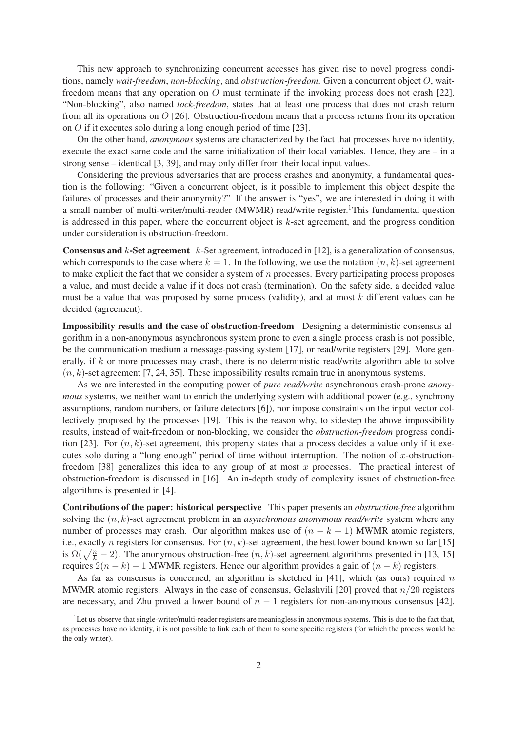This new approach to synchronizing concurrent accesses has given rise to novel progress conditions, namely *wait-freedom*, *non-blocking*, and *obstruction-freedom*. Given a concurrent object O, waitfreedom means that any operation on O must terminate if the invoking process does not crash [22]. "Non-blocking", also named *lock-freedom*, states that at least one process that does not crash return from all its operations on O [26]. Obstruction-freedom means that a process returns from its operation on O if it executes solo during a long enough period of time [23].

On the other hand, *anonymous* systems are characterized by the fact that processes have no identity, execute the exact same code and the same initialization of their local variables. Hence, they are – in a strong sense – identical [3, 39], and may only differ from their local input values.

Considering the previous adversaries that are process crashes and anonymity, a fundamental question is the following: "Given a concurrent object, is it possible to implement this object despite the failures of processes and their anonymity?" If the answer is "yes", we are interested in doing it with a small number of multi-writer/multi-reader (MWMR) read/write register.<sup>1</sup>This fundamental question is addressed in this paper, where the concurrent object is  $k$ -set agreement, and the progress condition under consideration is obstruction-freedom.

**Consensus and k-Set agreement** k-Set agreement, introduced in [12], is a generalization of consensus, which corresponds to the case where  $k = 1$ . In the following, we use the notation  $(n, k)$ -set agreement to make explicit the fact that we consider a system of  $n$  processes. Every participating process proposes a value, and must decide a value if it does not crash (termination). On the safety side, a decided value must be a value that was proposed by some process (validity), and at most  $k$  different values can be decided (agreement).

Impossibility results and the case of obstruction-freedom Designing a deterministic consensus algorithm in a non-anonymous asynchronous system prone to even a single process crash is not possible, be the communication medium a message-passing system [17], or read/write registers [29]. More generally, if  $k$  or more processes may crash, there is no deterministic read/write algorithm able to solve  $(n, k)$ -set agreement [7, 24, 35]. These impossibility results remain true in anonymous systems.

As we are interested in the computing power of *pure read/write* asynchronous crash-prone *anonymous* systems, we neither want to enrich the underlying system with additional power (e.g., synchrony assumptions, random numbers, or failure detectors [6]), nor impose constraints on the input vector collectively proposed by the processes [19]. This is the reason why, to sidestep the above impossibility results, instead of wait-freedom or non-blocking, we consider the *obstruction-freedom* progress condition [23]. For  $(n, k)$ -set agreement, this property states that a process decides a value only if it executes solo during a "long enough" period of time without interruption. The notion of x-obstructionfreedom [38] generalizes this idea to any group of at most x processes. The practical interest of obstruction-freedom is discussed in [16]. An in-depth study of complexity issues of obstruction-free algorithms is presented in [4].

Contributions of the paper: historical perspective This paper presents an *obstruction-free* algorithm solving the (n, k)-set agreement problem in an *asynchronous anonymous read/write* system where any number of processes may crash. Our algorithm makes use of  $(n - k + 1)$  MWMR atomic registers, i.e., exactly *n* registers for consensus. For  $(n, k)$ -set agreement, the best lower bound known so far [15] is  $\Omega(\sqrt{\frac{n}{k} - 2})$ . The anonymous obstruction-free  $(n, k)$ -set agreement algorithms presented in [13, 15] requires  $2(n - k) + 1$  MWMR registers. Hence our algorithm provides a gain of  $(n - k)$  registers.

As far as consensus is concerned, an algorithm is sketched in [41], which (as ours) required n MWMR atomic registers. Always in the case of consensus, Gelashvili [20] proved that  $n/20$  registers are necessary, and Zhu proved a lower bound of  $n - 1$  registers for non-anonymous consensus [42].

 ${}^{1}$ Let us observe that single-writer/multi-reader registers are meaningless in anonymous systems. This is due to the fact that, as processes have no identity, it is not possible to link each of them to some specific registers (for which the process would be the only writer).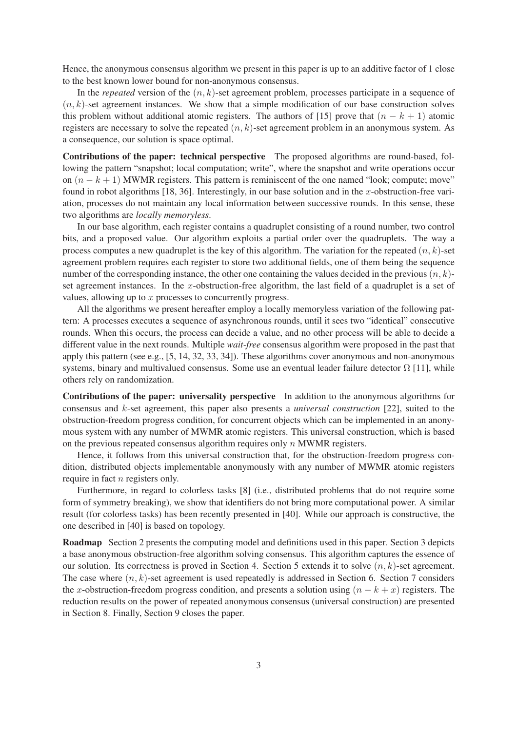Hence, the anonymous consensus algorithm we present in this paper is up to an additive factor of 1 close to the best known lower bound for non-anonymous consensus.

In the *repeated* version of the  $(n, k)$ -set agreement problem, processes participate in a sequence of  $(n, k)$ -set agreement instances. We show that a simple modification of our base construction solves this problem without additional atomic registers. The authors of [15] prove that  $(n - k + 1)$  atomic registers are necessary to solve the repeated  $(n, k)$ -set agreement problem in an anonymous system. As a consequence, our solution is space optimal.

Contributions of the paper: technical perspective The proposed algorithms are round-based, following the pattern "snapshot; local computation; write", where the snapshot and write operations occur on  $(n - k + 1)$  MWMR registers. This pattern is reminiscent of the one named "look; compute; move" found in robot algorithms [18, 36]. Interestingly, in our base solution and in the x-obstruction-free variation, processes do not maintain any local information between successive rounds. In this sense, these two algorithms are *locally memoryless*.

In our base algorithm, each register contains a quadruplet consisting of a round number, two control bits, and a proposed value. Our algorithm exploits a partial order over the quadruplets. The way a process computes a new quadruplet is the key of this algorithm. The variation for the repeated  $(n, k)$ -set agreement problem requires each register to store two additional fields, one of them being the sequence number of the corresponding instance, the other one containing the values decided in the previous  $(n, k)$ set agreement instances. In the x-obstruction-free algorithm, the last field of a quadruplet is a set of values, allowing up to x processes to concurrently progress.

All the algorithms we present hereafter employ a locally memoryless variation of the following pattern: A processes executes a sequence of asynchronous rounds, until it sees two "identical" consecutive rounds. When this occurs, the process can decide a value, and no other process will be able to decide a different value in the next rounds. Multiple *wait-free* consensus algorithm were proposed in the past that apply this pattern (see e.g., [5, 14, 32, 33, 34]). These algorithms cover anonymous and non-anonymous systems, binary and multivalued consensus. Some use an eventual leader failure detector  $\Omega$  [11], while others rely on randomization.

Contributions of the paper: universality perspective In addition to the anonymous algorithms for consensus and k-set agreement, this paper also presents a *universal construction* [22], suited to the obstruction-freedom progress condition, for concurrent objects which can be implemented in an anonymous system with any number of MWMR atomic registers. This universal construction, which is based on the previous repeated consensus algorithm requires only  $n$  MWMR registers.

Hence, it follows from this universal construction that, for the obstruction-freedom progress condition, distributed objects implementable anonymously with any number of MWMR atomic registers require in fact *n* registers only.

Furthermore, in regard to colorless tasks [8] (i.e., distributed problems that do not require some form of symmetry breaking), we show that identifiers do not bring more computational power. A similar result (for colorless tasks) has been recently presented in [40]. While our approach is constructive, the one described in [40] is based on topology.

Roadmap Section 2 presents the computing model and definitions used in this paper. Section 3 depicts a base anonymous obstruction-free algorithm solving consensus. This algorithm captures the essence of our solution. Its correctness is proved in Section 4. Section 5 extends it to solve  $(n, k)$ -set agreement. The case where  $(n, k)$ -set agreement is used repeatedly is addressed in Section 6. Section 7 considers the x-obstruction-freedom progress condition, and presents a solution using  $(n - k + x)$  registers. The reduction results on the power of repeated anonymous consensus (universal construction) are presented in Section 8. Finally, Section 9 closes the paper.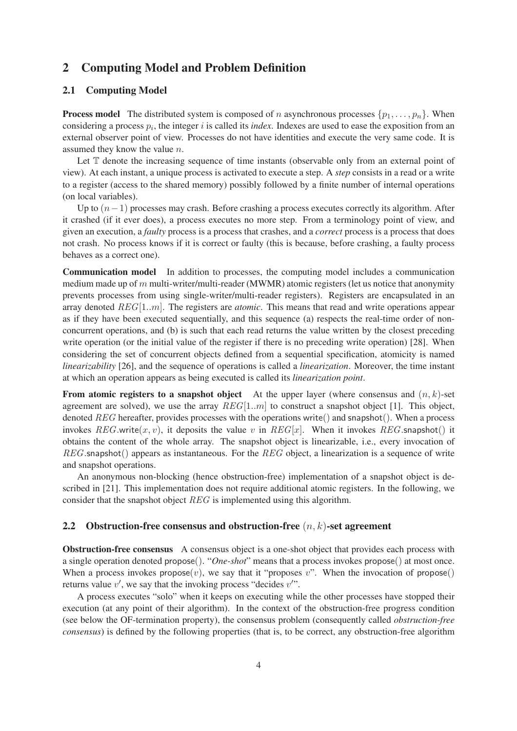# 2 Computing Model and Problem Definition

### 2.1 Computing Model

**Process model** The distributed system is composed of n asynchronous processes  $\{p_1, \ldots, p_n\}$ . When considering a process  $p_i$ , the integer  $i$  is called its *index*. Indexes are used to ease the exposition from an external observer point of view. Processes do not have identities and execute the very same code. It is assumed they know the value n.

Let  $\mathbb T$  denote the increasing sequence of time instants (observable only from an external point of view). At each instant, a unique process is activated to execute a step. A *step* consists in a read or a write to a register (access to the shared memory) possibly followed by a finite number of internal operations (on local variables).

Up to  $(n-1)$  processes may crash. Before crashing a process executes correctly its algorithm. After it crashed (if it ever does), a process executes no more step. From a terminology point of view, and given an execution, a *faulty* process is a process that crashes, and a *correct* process is a process that does not crash. No process knows if it is correct or faulty (this is because, before crashing, a faulty process behaves as a correct one).

Communication model In addition to processes, the computing model includes a communication medium made up of  $m$  multi-writer/multi-reader (MWMR) atomic registers (let us notice that anonymity prevents processes from using single-writer/multi-reader registers). Registers are encapsulated in an array denoted REG[1..m]. The registers are *atomic*. This means that read and write operations appear as if they have been executed sequentially, and this sequence (a) respects the real-time order of nonconcurrent operations, and (b) is such that each read returns the value written by the closest preceding write operation (or the initial value of the register if there is no preceding write operation) [28]. When considering the set of concurrent objects defined from a sequential specification, atomicity is named *linearizability* [26], and the sequence of operations is called a *linearization*. Moreover, the time instant at which an operation appears as being executed is called its *linearization point*.

From atomic registers to a snapshot object At the upper layer (where consensus and  $(n, k)$ -set agreement are solved), we use the array  $REG[1..m]$  to construct a snapshot object [1]. This object, denoted REG hereafter, provides processes with the operations write() and snapshot(). When a process invokes  $REG$ .write $(x, v)$ , it deposits the value v in  $REG[x]$ . When it invokes  $REG$ .snapshot() it obtains the content of the whole array. The snapshot object is linearizable, i.e., every invocation of  $REG$ . snapshot() appears as instantaneous. For the  $REG$  object, a linearization is a sequence of write and snapshot operations.

An anonymous non-blocking (hence obstruction-free) implementation of a snapshot object is described in [21]. This implementation does not require additional atomic registers. In the following, we consider that the snapshot object REG is implemented using this algorithm.

#### 2.2 Obstruction-free consensus and obstruction-free  $(n, k)$ -set agreement

Obstruction-free consensus A consensus object is a one-shot object that provides each process with a single operation denoted propose(). "*One-shot*" means that a process invokes propose() at most once. When a process invokes  $propose(v)$ , we say that it "proposes v". When the invocation of propose() returns value  $v'$ , we say that the invoking process "decides  $v''$ ".

A process executes "solo" when it keeps on executing while the other processes have stopped their execution (at any point of their algorithm). In the context of the obstruction-free progress condition (see below the OF-termination property), the consensus problem (consequently called *obstruction-free consensus*) is defined by the following properties (that is, to be correct, any obstruction-free algorithm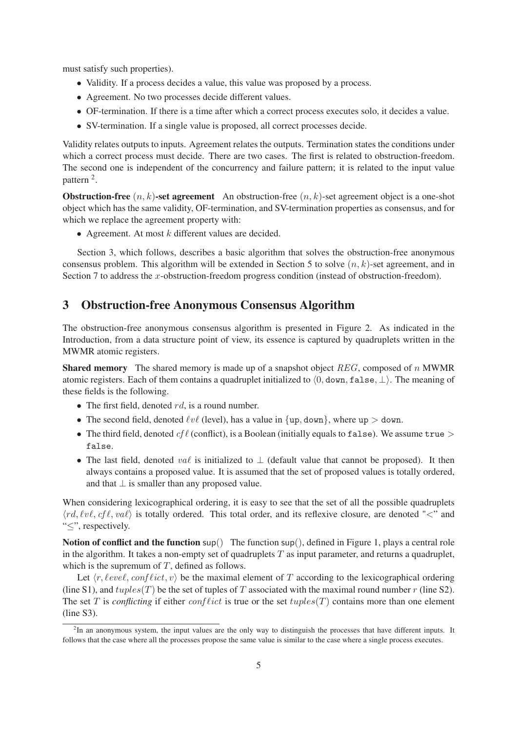must satisfy such properties).

- Validity. If a process decides a value, this value was proposed by a process.
- Agreement. No two processes decide different values.
- OF-termination. If there is a time after which a correct process executes solo, it decides a value.
- SV-termination. If a single value is proposed, all correct processes decide.

Validity relates outputs to inputs. Agreement relates the outputs. Termination states the conditions under which a correct process must decide. There are two cases. The first is related to obstruction-freedom. The second one is independent of the concurrency and failure pattern; it is related to the input value pattern<sup>2</sup>.

**Obstruction-free**  $(n, k)$ -set agreement An obstruction-free  $(n, k)$ -set agreement object is a one-shot object which has the same validity, OF-termination, and SV-termination properties as consensus, and for which we replace the agreement property with:

• Agreement. At most  $k$  different values are decided.

Section 3, which follows, describes a basic algorithm that solves the obstruction-free anonymous consensus problem. This algorithm will be extended in Section 5 to solve  $(n, k)$ -set agreement, and in Section 7 to address the x-obstruction-freedom progress condition (instead of obstruction-freedom).

## 3 Obstruction-free Anonymous Consensus Algorithm

The obstruction-free anonymous consensus algorithm is presented in Figure 2. As indicated in the Introduction, from a data structure point of view, its essence is captured by quadruplets written in the MWMR atomic registers.

**Shared memory** The shared memory is made up of a snapshot object  $REG$ , composed of n MWMR atomic registers. Each of them contains a quadruplet initialized to  $\langle 0, \text{down}, \text{false}, \perp \rangle$ . The meaning of these fields is the following.

- The first field, denoted  $rd$ , is a round number.
- The second field, denoted  $\ell v \ell$  (level), has a value in  $\{ \text{up}, \text{down} \}$ , where  $\text{up} > \text{down}$ .
- The third field, denoted  $cf\ell$  (conflict), is a Boolean (initially equals to false). We assume true  $>$ false.
- The last field, denoted val is initialized to  $\perp$  (default value that cannot be proposed). It then always contains a proposed value. It is assumed that the set of proposed values is totally ordered, and that  $\perp$  is smaller than any proposed value.

When considering lexicographical ordering, it is easy to see that the set of all the possible quadruplets  $\langle rd, \ell v \ell, cf \ell, va \ell \rangle$  is totally ordered. This total order, and its reflexive closure, are denoted "<" and "≤", respectively.

Notion of conflict and the function sup() The function sup(), defined in Figure 1, plays a central role in the algorithm. It takes a non-empty set of quadruplets  $T$  as input parameter, and returns a quadruplet, which is the supremum of  $T$ , defined as follows.

Let  $\langle r, \ell eve\ell, \text{conf} \ell ict, v \rangle$  be the maximal element of T according to the lexicographical ordering (line S1), and  $tuples(T)$  be the set of tuples of T associated with the maximal round number r (line S2). The set T is *conflicting* if either  $conflict$  is true or the set  $tuples(T)$  contains more than one element (line S3).

<sup>&</sup>lt;sup>2</sup>In an anonymous system, the input values are the only way to distinguish the processes that have different inputs. It follows that the case where all the processes propose the same value is similar to the case where a single process executes.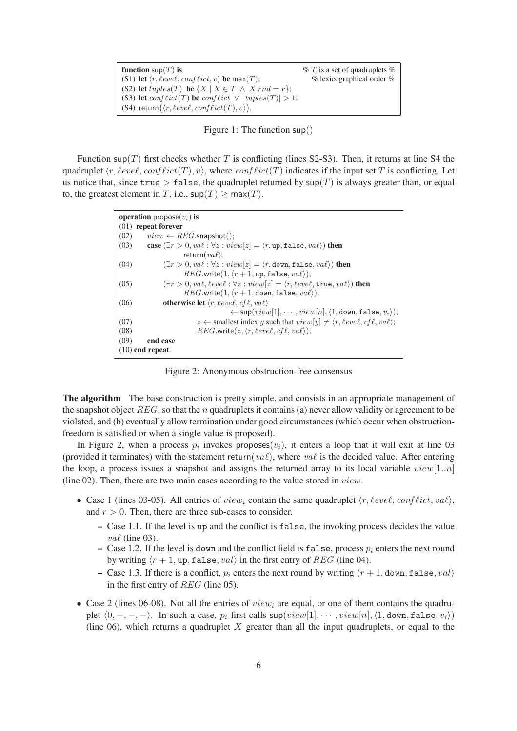| function $\mathsf{sup}(T)$ is                                                      | $\% T$ is a set of quadruplets $\%$ |
|------------------------------------------------------------------------------------|-------------------------------------|
| (S1) let $\langle r, \ell eve\ell, \text{conf} \ell ict, v \rangle$ be max $(T)$ ; | $%$ lexicographical order $%$       |
| (S2) let $tuples(T)$ be $\{X \mid X \in T \land X.rnd = r\};$                      |                                     |
| (S3) let $conflict(T)$ be $conflict \vee  tuples(T)  > 1$ ;                        |                                     |
| (S4) return( $\langle r, \ell e v e \ell, \text{conf} \ell i ct(T), v \rangle$ ).  |                                     |

Figure 1: The function sup()

Function sup(T) first checks whether T is conflicting (lines S2-S3). Then, it returns at line S4 the quadruplet  $\langle r, \ell eve\ell, conf\ellict(T), v\rangle$ , where  $conf\ellict(T)$  indicates if the input set T is conflicting. Let us notice that, since true  $>$  false, the quadruplet returned by  $\sup(T)$  is always greater than, or equal to, the greatest element in T, i.e.,  $\sup(T) \ge \max(T)$ .

| <b>operation</b> propose $(v_i)$ is                                                                                                 |  |  |  |  |
|-------------------------------------------------------------------------------------------------------------------------------------|--|--|--|--|
| $(01)$ repeat forever                                                                                                               |  |  |  |  |
| (02)<br>$view \leftarrow REG.\mathsf{snapshot}$ .                                                                                   |  |  |  |  |
| case $(\exists r > 0, val : \forall z : view[z] = \langle r, up, false, va\ell \rangle)$ then<br>(03)                               |  |  |  |  |
| return( $va\ell$ );                                                                                                                 |  |  |  |  |
| $(\exists r > 0, val : \forall z : view[z] = \langle r, down, false, va\ell \rangle)$ then<br>(04)                                  |  |  |  |  |
| $REG.write(1, (r + 1, up, false, va\ell))$ ;                                                                                        |  |  |  |  |
| $(\exists r > 0, val, level : \forall z : view[z] = \langle r, level, true, val \rangle)$ then<br>(05)                              |  |  |  |  |
| $REG.write(1, \langle r+1, \text{down}, \text{false}, \text{val}\rangle);$                                                          |  |  |  |  |
| <b>otherwise let</b> $\langle r, \ell eve \ell, \ell f \ell, \nu a \ell \rangle$<br>(06)                                            |  |  |  |  |
| $\leftarrow$ sup $(view[1], \cdots, view[n], \langle 1, \text{down}, \text{false}, v_i \rangle);$                                   |  |  |  |  |
| $z \leftarrow$ smallest index y such that $view[y] \neq \langle r, \ell eve\ell, \mathit{cf}\ell, \mathit{va}\ell \rangle;$<br>(07) |  |  |  |  |
| $REG.write(z, \langle r, level, cfl, val \rangle);$<br>(08)                                                                         |  |  |  |  |
| (09)<br>end case                                                                                                                    |  |  |  |  |
| $(10)$ end repeat.                                                                                                                  |  |  |  |  |

Figure 2: Anonymous obstruction-free consensus

The algorithm The base construction is pretty simple, and consists in an appropriate management of the snapshot object  $REG$ , so that the n quadruplets it contains (a) never allow validity or agreement to be violated, and (b) eventually allow termination under good circumstances (which occur when obstructionfreedom is satisfied or when a single value is proposed).

In Figure 2, when a process  $p_i$  invokes proposes $(v_i)$ , it enters a loop that it will exit at line 03 (provided it terminates) with the statement return(val), where val is the decided value. After entering the loop, a process issues a snapshot and assigns the returned array to its local variable  $view[1..n]$ (line 02). Then, there are two main cases according to the value stored in view.

- Case 1 (lines 03-05). All entries of view<sub>i</sub> contain the same quadruplet  $\langle r, \ell evel, conflict, val \rangle$ , and  $r > 0$ . Then, there are three sub-cases to consider.
	- Case 1.1. If the level is up and the conflict is false, the invoking process decides the value  $val$  (line 03).
	- Case 1.2. If the level is down and the conflict field is false, process  $p_i$  enters the next round by writing  $\langle r + 1, \text{up}, \text{false}, \text{val} \rangle$  in the first entry of REG (line 04).
	- Case 1.3. If there is a conflict,  $p_i$  enters the next round by writing  $\langle r + 1$ , down, false, val) in the first entry of REG (line 05).
- Case 2 (lines 06-08). Not all the entries of  $view_i$  are equal, or one of them contains the quadruplet  $\langle 0, -, -, -\rangle$ . In such a case,  $p_i$  first calls  $\sup(view[1], \dots, view[n], \langle 1, \text{down}, \text{false}, v_i \rangle)$ (line 06), which returns a quadruplet  $X$  greater than all the input quadruplets, or equal to the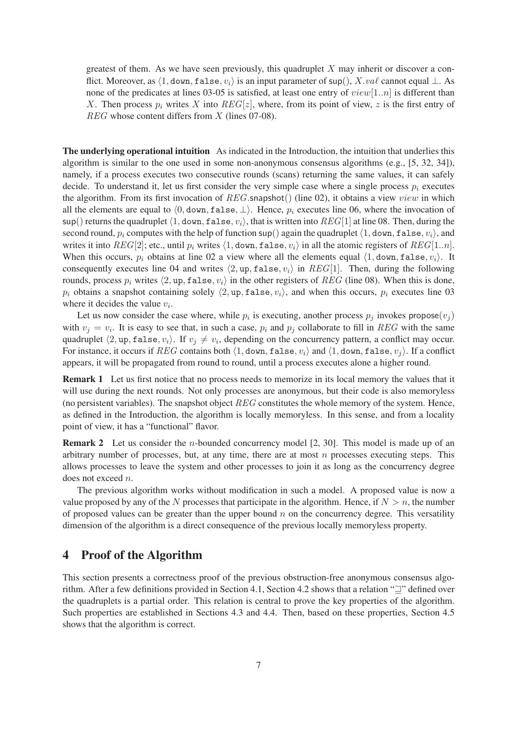greatest of them. As we have seen previously, this quadruplet  $X$  may inherit or discover a conflict. Moreover, as  $\langle 1,$  down, false,  $v_i \rangle$  is an input parameter of sup(), X.vaℓ cannot equal ⊥. As none of the predicates at lines 03-05 is satisfied, at least one entry of  $view[1..n]$  is different than X. Then process  $p_i$  writes X into  $REG[z]$ , where, from its point of view, z is the first entry of REG whose content differs from X (lines 07-08).

The underlying operational intuition As indicated in the Introduction, the intuition that underlies this algorithm is similar to the one used in some non-anonymous consensus algorithms (e.g., [5, 32, 34]), namely, if a process executes two consecutive rounds (scans) returning the same values, it can safely decide. To understand it, let us first consider the very simple case where a single process  $p_i$  executes the algorithm. From its first invocation of  $REG$ . snapshot() (line 02), it obtains a view view in which all the elements are equal to  $\langle 0, \text{down}, \text{false}, \perp \rangle$ . Hence,  $p_i$  executes line 06, where the invocation of sup() returns the quadruplet  $\langle 1, \text{down}, \text{false}, v_i \rangle$ , that is written into  $REG[1]$  at line 08. Then, during the second round,  $p_i$  computes with the help of function sup() again the quadruplet  $\langle 1,$  down, false,  $v_i \rangle$ , and writes it into  $REG[2]$ ; etc., until  $p_i$  writes  $\langle 1,$  down, false,  $v_i \rangle$  in all the atomic registers of  $REG[1..n]$ . When this occurs,  $p_i$  obtains at line 02 a view where all the elements equal  $\langle 1, \text{down}, \text{false}, v_i \rangle$ . It consequently executes line 04 and writes  $\langle 2, \text{up}, \text{false}, v_i \rangle$  in REG[1]. Then, during the following rounds, process  $p_i$  writes  $\langle 2, \text{up}, \text{false}, v_i \rangle$  in the other registers of REG (line 08). When this is done,  $p_i$  obtains a snapshot containing solely  $\langle 2, \text{up}, \text{false}, v_i \rangle$ , and when this occurs,  $p_i$  executes line 03 where it decides the value  $v_i$ .

Let us now consider the case where, while  $p_i$  is executing, another process  $p_j$  invokes propose $(v_j)$ with  $v_j = v_i$ . It is easy to see that, in such a case,  $p_i$  and  $p_j$  collaborate to fill in REG with the same quadruplet  $\langle 2, \text{up}, \text{false}, v_i \rangle$ . If  $v_j \neq v_i$ , depending on the concurrency pattern, a conflict may occur. For instance, it occurs if REG contains both  $\langle 1,$  down, false,  $v_i \rangle$  and  $\langle 1,$  down, false,  $v_j \rangle$ . If a conflict appears, it will be propagated from round to round, until a process executes alone a higher round.

Remark 1 Let us first notice that no process needs to memorize in its local memory the values that it will use during the next rounds. Not only processes are anonymous, but their code is also memoryless (no persistent variables). The snapshot object  $REG$  constitutes the whole memory of the system. Hence, as defined in the Introduction, the algorithm is locally memoryless. In this sense, and from a locality point of view, it has a "functional" flavor.

**Remark 2** Let us consider the *n*-bounded concurrency model [2, 30]. This model is made up of an arbitrary number of processes, but, at any time, there are at most  $n$  processes executing steps. This allows processes to leave the system and other processes to join it as long as the concurrency degree does not exceed n.

The previous algorithm works without modification in such a model. A proposed value is now a value proposed by any of the N processes that participate in the algorithm. Hence, if  $N > n$ , the number of proposed values can be greater than the upper bound  $n$  on the concurrency degree. This versatility dimension of the algorithm is a direct consequence of the previous locally memoryless property.

### 4 Proof of the Algorithm

This section presents a correctness proof of the previous obstruction-free anonymous consensus algorithm. After a few definitions provided in Section 4.1, Section 4.2 shows that a relation "⊒" defined over the quadruplets is a partial order. This relation is central to prove the key properties of the algorithm. Such properties are established in Sections 4.3 and 4.4. Then, based on these properties, Section 4.5 shows that the algorithm is correct.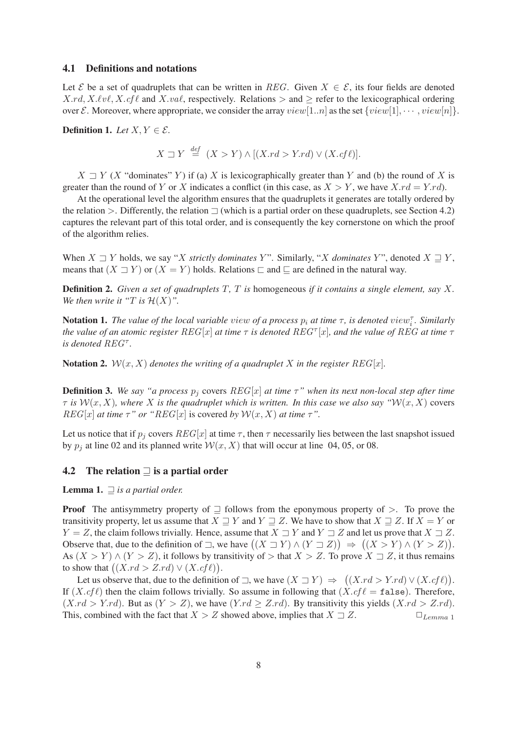#### 4.1 Definitions and notations

Let E be a set of quadruplets that can be written in REG. Given  $X \in \mathcal{E}$ , its four fields are denoted  $X.rd, X.\ell\nu\ell, X.cf\ell$  and  $X.va\ell$ , respectively. Relations  $>$  and  $\geq$  refer to the lexicographical ordering over E. Moreover, where appropriate, we consider the array  $view[1..n]$  as the set  $\{view[1], \dots, view[n]\}.$ 

**Definition 1.** *Let*  $X, Y \in \mathcal{E}$ .

$$
X \sqsupset Y \stackrel{def}{=} (X > Y) \land [(X.rd > Y.rd) \lor (X.cf\ell)].
$$

 $X \supseteq Y$  (X "dominates" Y) if (a) X is lexicographically greater than Y and (b) the round of X is greater than the round of Y or X indicates a conflict (in this case, as  $X > Y$ , we have  $X, rd = Y, rd$ ).

At the operational level the algorithm ensures that the quadruplets it generates are totally ordered by the relation  $>$ . Differently, the relation  $\Box$  (which is a partial order on these quadruplets, see Section 4.2) captures the relevant part of this total order, and is consequently the key cornerstone on which the proof of the algorithm relies.

When  $X \sqsupset Y$  holds, we say "X *strictly dominates Y*". Similarly, "X *dominates Y*", denoted  $X \sqsupseteq Y$ , means that  $(X \sqsupset Y)$  or  $(X = Y)$  holds. Relations  $\sqsubset$  and  $\sqsubseteq$  are defined in the natural way.

Definition 2. *Given a set of quadruplets* T*,* T *is* homogeneous *if it contains a single element, say* X*. We then write it "T is*  $\mathcal{H}(X)$ ".

**Notation 1.** The value of the local variable view of a process  $p_i$  at time  $\tau$ , is denoted view<sub>i</sub><sup>-</sup>. Similarly *the value of an atomic register* REG[x] *at time* τ *is denoted* REG<sup>τ</sup> [x]*, and the value of* REG *at time* τ *is denoted* REG<sup>τ</sup> *.*

Notation 2.  $W(x, X)$  *denotes the writing of a quadruplet* X *in the register*  $REG[x]$ *.* 

**Definition 3.** We say "a process  $p_j$  covers  $REG[x]$  at time  $\tau$ " when its next non-local step after time  $\tau$  *is*  $W(x, X)$ *, where* X *is the quadruplet which is written. In this case we also say* " $W(x, X)$  covers  $REG[x]$  *at time*  $\tau$ " *or* " $REG[x]$  is covered *by*  $W(x, X)$  *at time*  $\tau$ ".

Let us notice that if  $p_i$  covers  $REG[x]$  at time  $\tau$ , then  $\tau$  necessarily lies between the last snapshot issued by  $p_i$  at line 02 and its planned write  $W(x, X)$  that will occur at line 04, 05, or 08.

### 4.2 The relation  $\Box$  is a partial order

Lemma 1. ⊒ *is a partial order.*

**Proof** The antisymmetry property of  $\supseteq$  follows from the eponymous property of  $>$ . To prove the transitivity property, let us assume that  $X \sqsupseteq Y$  and  $Y \sqsupseteq Z$ . We have to show that  $X \sqsupseteq Z$ . If  $X = Y$  or  $Y = Z$ , the claim follows trivially. Hence, assume that  $X \supseteq Y$  and  $Y \supseteq Z$  and let us prove that  $X \supseteq Z$ . Observe that, due to the definition of  $\exists$ , we have  $((X \sqsupset Y) \land (Y \sqsupset Z)) \Rightarrow ((X > Y) \land (Y > Z)).$ As  $(X > Y) \wedge (Y > Z)$ , it follows by transitivity of  $>$  that  $X > Z$ . To prove  $X \supseteq Z$ , it thus remains to show that  $((X.rd > Z.rd) \vee (X.cf\ell)).$ 

Let us observe that, due to the definition of  $\exists$ , we have  $(X \sqsupset Y) \Rightarrow ((X \cdot rd) \vee (X \cdot cf \ell)).$ If  $(X.cf\ell)$  then the claim follows trivially. So assume in following that  $(X.cf\ell = \texttt{false})$ . Therefore,  $(X, rd > Y, rd)$ . But as  $(Y > Z)$ , we have  $(Y, rd \geq Z, rd)$ . By transitivity this yields  $(X, rd > Z, rd)$ . This, combined with the fact that  $X > Z$  showed above, implies that  $X \supseteq Z$ .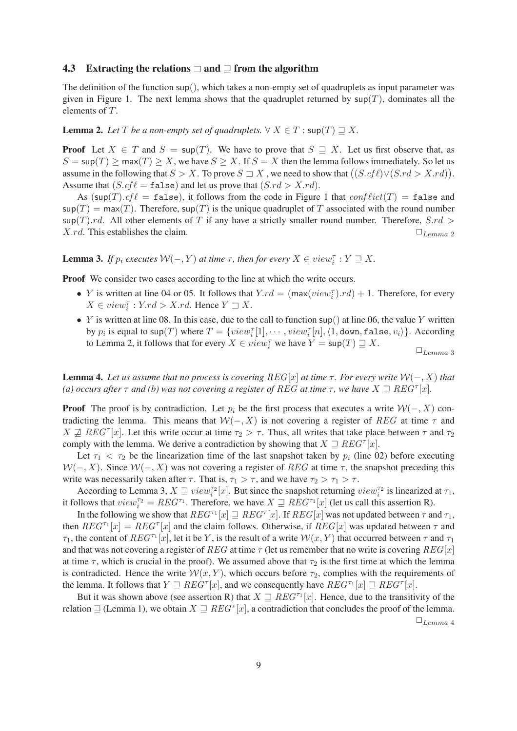#### 4.3 Extracting the relations  $\Box$  and  $\Box$  from the algorithm

The definition of the function sup(), which takes a non-empty set of quadruplets as input parameter was given in Figure 1. The next lemma shows that the quadruplet returned by  $\text{sup}(T)$ , dominates all the elements of T.

### **Lemma 2.** Let T be a non-empty set of quadruplets.  $\forall X \in T : \text{sup}(T) \sqsupset X$ .

**Proof** Let  $X \in T$  and  $S = \sup(T)$ . We have to prove that  $S \supseteq X$ . Let us first observe that, as  $S = \sup(T) \ge \max(T) \ge X$ , we have  $S \ge X$ . If  $S = X$  then the lemma follows immediately. So let us assume in the following that  $S > X$ . To prove  $S \sqsupseteq X$ , we need to show that  $((S.c f \ell) \lor (S.r d > X.r d))$ . Assume that  $(S.cf\ell = \texttt{false})$  and let us prove that  $(S.rd > X.rd)$ .

As  $(\text{sup}(T).cf \ell = \text{false})$ , it follows from the code in Figure 1 that  $conflict(T) = \text{false}$  and  $\sup(T) = \max(T)$ . Therefore,  $\sup(T)$  is the unique quadruplet of T associated with the round number  $\sup(T)$ .rd. All other elements of T if any have a strictly smaller round number. Therefore, S.rd > X.rd. This establishes the claim.  $\Box$ 

**Lemma 3.** *If*  $p_i$  *executes*  $W(-, Y)$  *at time*  $\tau$ *, then for every*  $X \in view_i^{\tau}: Y \sqsupseteq X$ *.* 

Proof We consider two cases according to the line at which the write occurs.

- Y is written at line 04 or 05. It follows that  $Y.rd = (\max(view_i^{\tau}).rd) + 1$ . Therefore, for every  $X \in view_i^{\tau}: Y.rd > X.rd.$  Hence  $Y \sqsupset X$ .
- Y is written at line 08. In this case, due to the call to function sup() at line 06, the value Y written by  $p_i$  is equal to sup(T) where  $T = \{view_i^{\tau}[1], \cdots, view_i^{\tau}[n], \langle 1, \text{down}, \text{false}, v_i \rangle\}$ . According to Lemma 2, it follows that for every  $X \in view_i^{\tau}$  we have  $Y = \sup(T) \sqsupseteq X$ .  $\square_{Lemma\ 3}$

**Lemma 4.** Let us assume that no process is covering  $REG[x]$  at time  $\tau$ . For every write  $W(-, X)$  that *(a) occurs after*  $\tau$  *and (b) was not covering a register of REG at time*  $\tau$ *, we have*  $X \supseteq$   $REG^{\tau}[x]$ *.* 

**Proof** The proof is by contradiction. Let  $p_i$  be the first process that executes a write  $\mathcal{W}(-, X)$  contradicting the lemma. This means that  $W(-, X)$  is not covering a register of REG at time  $\tau$  and  $X \nsubseteq REG^{\tau}[x]$ . Let this write occur at time  $\tau_2 > \tau$ . Thus, all writes that take place between  $\tau$  and  $\tau_2$ comply with the lemma. We derive a contradiction by showing that  $X \supseteq REG^{\tau}[x]$ .

Let  $\tau_1$  <  $\tau_2$  be the linearization time of the last snapshot taken by  $p_i$  (line 02) before executing  $W(-, X)$ . Since  $W(-, X)$  was not covering a register of REG at time  $\tau$ , the snapshot preceding this write was necessarily taken after  $\tau$ . That is,  $\tau_1 > \tau$ , and we have  $\tau_2 > \tau_1 > \tau$ .

According to Lemma 3,  $X \sqsupseteq view_i^{\tau_2}[x]$ . But since the snapshot returning  $view_i^{\tau_2}$  is linearized at  $\tau_1$ , it follows that  $view_i^{\tau_2} = REG^{\tau_1}$ . Therefore, we have  $X \sqsupseteq REG^{\tau_1}[x]$  (let us call this assertion R).

In the following we show that  $REG^{\tau_1}[x] \sqsupseteq REG^{\tau}[x]$ . If  $REG[x]$  was not updated between  $\tau$  and  $\tau_1$ , then  $REG^{\tau_1}[x] = REG^{\tau}[x]$  and the claim follows. Otherwise, if  $REG[x]$  was updated between  $\tau$  and  $\tau_1$ , the content of  $REG^{\tau_1}[x]$ , let it be Y, is the result of a write  $W(x, Y)$  that occurred between  $\tau$  and  $\tau_1$ and that was not covering a register of REG at time  $\tau$  (let us remember that no write is covering REG[x] at time  $\tau$ , which is crucial in the proof). We assumed above that  $\tau_2$  is the first time at which the lemma is contradicted. Hence the write  $W(x, Y)$ , which occurs before  $\tau_2$ , complies with the requirements of the lemma. It follows that  $Y \supseteq REG^{\tau}[x]$ , and we consequently have  $REG^{\tau}[x] \supseteq REG^{\tau}[x]$ .

But it was shown above (see assertion R) that  $X \supseteq REG^{T_1}[x]$ . Hence, due to the transitivity of the relation  $\Box$  (Lemma 1), we obtain  $X \Box$   $REG^{\tau}[x]$ , a contradiction that concludes the proof of the lemma.  $\Box$ Lemma 4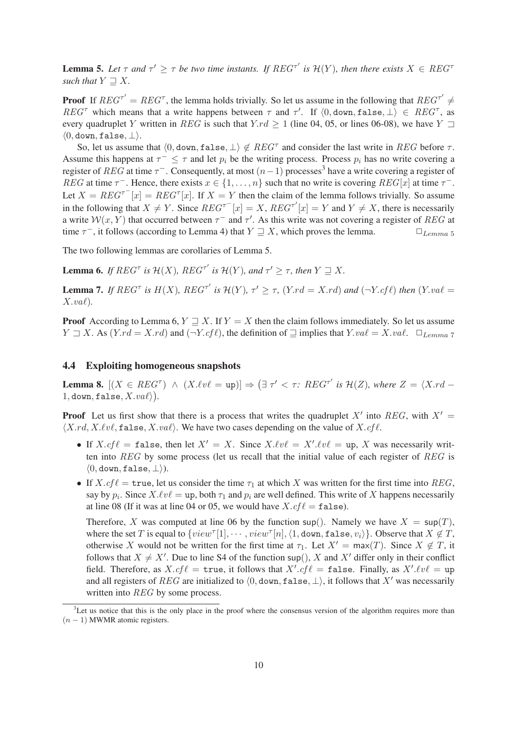**Lemma 5.** Let  $\tau$  and  $\tau' \geq \tau$  be two time instants. If  $REG^{\tau'}$  is  $\mathcal{H}(Y)$ , then there exists  $X \in REG^{\tau}$ *such that*  $Y \sqsupseteq X$ *.* 

**Proof** If  $REG^{\tau'} = REG^{\tau}$ , the lemma holds trivially. So let us assume in the following that  $REG^{\tau'} \neq$ REG<sup>T</sup> which means that a write happens between  $\tau$  and  $\tau'$ . If  $\langle 0, \text{down}, \text{false}, \perp \rangle \in \text{REG}^{\tau}$ , as every quadruplet Y written in REG is such that Y.rd  $\geq 1$  (line 04, 05, or lines 06-08), we have Y  $\Box$  $\langle 0, \text{down}, \text{false}, \perp \rangle$ .

So, let us assume that  $\langle 0, \text{down}, \text{false}, \perp \rangle \notin REG^{\tau}$  and consider the last write in  $REG$  before  $\tau$ . Assume this happens at  $\tau^- \leq \tau$  and let  $p_i$  be the writing process. Process  $p_i$  has no write covering a register of  $REG$  at time  $\tau^-$ . Consequently, at most  $(n-1)$  processes<sup>3</sup> have a write covering a register of REG at time  $\tau^-$ . Hence, there exists  $x \in \{1, \ldots, n\}$  such that no write is covering  $REG[x]$  at time  $\tau^-$ . Let  $X = REG^{\top}[x] = REG^{\top}[x]$ . If  $X = Y$  then the claim of the lemma follows trivially. So assume in the following that  $X \neq Y$ . Since  $REG^{\tau^{-}}[x] = X$ ,  $REG^{\tau'}[x] = Y$  and  $Y \neq X$ , there is necessarily a write  $W(x, Y)$  that occurred between  $\tau^{-}$  and  $\tau'$ . As this write was not covering a register of REG at time  $\tau^-$ , it follows (according to Lemma 4) that  $Y \sqsupseteq X$ , which proves the lemma.  $\square_{Lemma\ 5}$ 

The two following lemmas are corollaries of Lemma 5.

**Lemma 6.** *If*  $REG^{\tau}$  *is*  $\mathcal{H}(X)$ *,*  $REG^{\tau'}$  *is*  $\mathcal{H}(Y)$ *, and*  $\tau' \geq \tau$ *, then*  $Y \supseteq X$ *.* 

**Lemma 7.** *If*  $REG^{\tau}$  *is*  $H(X)$ *,*  $REG^{\tau'}$  *is*  $H(Y)$ *,*  $\tau' \geq \tau$ *,*  $(Y,rd = X,rd)$  *and*  $(\neg Y,cf\ell)$  *then*  $(Y,vd)$  $X.val.$ 

**Proof** According to Lemma 6,  $Y \supseteq X$ . If  $Y = X$  then the claim follows immediately. So let us assume Y ⊐ X. As (Y.rd = X.rd) and (¬Y.cf ℓ), the definition of ⊒ implies that Y.vaℓ = X.vaℓ. ✷Lemma <sup>7</sup>

### 4.4 Exploiting homogeneous snapshots

**Lemma 8.**  $[(X \in REG^{\tau}) \land (X.\ell v \ell = \text{up})] \Rightarrow (\exists \tau' < \tau : REG^{\tau'} \text{ is } \mathcal{H}(Z), \text{ where } Z = \langle X.rd - \text{up} \rangle]$  $1,$  down, false,  $X.val\rangle$ ).

**Proof** Let us first show that there is a process that writes the quadruplet  $X'$  into REG, with  $X' =$  $\langle X.rd, X.\ell v\ell, \texttt{false}, X.va\ell \rangle$ . We have two cases depending on the value of  $X.cf\ell$ .

- If  $X.cf\ell = \text{false}$ , then let  $X' = X$ . Since  $X.\ell v\ell = X'.\ell v\ell = \text{up}, X$  was necessarily written into  $REG$  by some process (let us recall that the initial value of each register of  $REG$  is  $\langle 0,$  down, false,  $\perp \rangle$ ).
- If  $X.cf\ell = \text{true}$ , let us consider the time  $\tau_1$  at which X was written for the first time into REG, say by  $p_i$ . Since  $X.\ell v\ell = \text{up}$ , both  $\tau_1$  and  $p_i$  are well defined. This write of X happens necessarily at line 08 (If it was at line 04 or 05, we would have  $X.cf \ell = \texttt{false}$ ).

Therefore, X was computed at line 06 by the function sup(). Namely we have  $X = \text{sup}(T)$ , where the set T is equal to  $\{view^{\tau}[1], \cdots, view^{\tau}[n], \langle 1, \text{down}, \text{false}, v_i \rangle\}$ . Observe that  $X \notin T$ , otherwise X would not be written for the first time at  $\tau_1$ . Let  $X' = \max(T)$ . Since  $X \notin T$ , it follows that  $X \neq X'$ . Due to line S4 of the function sup(), X and X' differ only in their conflict field. Therefore, as  $X.cf\ell = \text{true}$ , it follows that  $X'.cf\ell = \text{false}$ . Finally, as  $X'.\ell v\ell = \text{up}$ and all registers of REG are initialized to  $(0, down, false, \perp)$ , it follows that X' was necessarily written into *REG* by some process.

 $3$ Let us notice that this is the only place in the proof where the consensus version of the algorithm requires more than  $(n - 1)$  MWMR atomic registers.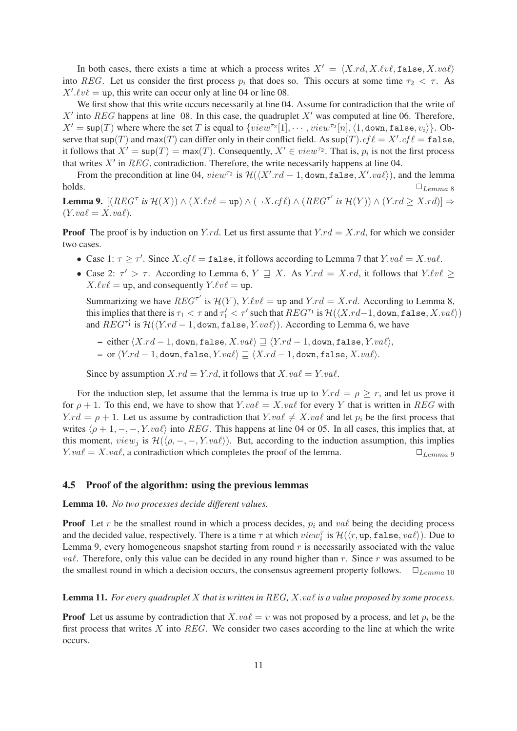In both cases, there exists a time at which a process writes  $X' = \langle X, rd, X, \ell v \ell, \text{false}, X, va \ell \rangle$ into REG. Let us consider the first process  $p_i$  that does so. This occurs at some time  $\tau_2 < \tau$ . As  $X'.\ell v\ell = \text{up}$ , this write can occur only at line 04 or line 08.

We first show that this write occurs necessarily at line 04. Assume for contradiction that the write of  $X'$  into REG happens at line 08. In this case, the quadruplet  $X'$  was computed at line 06. Therefore,  $X' = \mathsf{sup}(T)$  where where the set T is equal to  $\{view^{\tau_2}[1], \cdots, view^{\tau_2}[n], \langle 1, \text{down}, \text{false}, v_i \rangle\}$ . Observe that sup(T) and max(T) can differ only in their conflict field. As  $\mathsf{sup}(T) .cf \ell = X'.cf \ell = \mathtt{false},$ it follows that  $X' = \sup(T) = \max(T)$ . Consequently,  $X' \in view^{T_2}$ . That is,  $p_i$  is not the first process that writes  $X'$  in  $REG$ , contradiction. Therefore, the write necessarily happens at line 04.

From the precondition at line 04,  $view^{\tau_2}$  is  $\mathcal{H}(\langle X'.rd-1, \text{down}, \text{false}, X'.va\ell \rangle)$ , and the lemma  $\Box$ Lemma 8

**Lemma 9.**  $[(REG^{\tau} \text{ is } \mathcal{H}(X)) \wedge (X.\ell v \ell = \text{up}) \wedge (\neg X.\mathit{cf} \ell) \wedge (REG^{\tau'} \text{ is } \mathcal{H}(Y)) \wedge (Y.\mathit{rd} \geq X.\mathit{rd})] \Rightarrow$  $(Y.val = X.val).$ 

**Proof** The proof is by induction on Y.rd. Let us first assume that  $Y$ .rd = X.rd, for which we consider two cases.

- Case 1:  $\tau \geq \tau'$ . Since  $X.cf\ell = \texttt{false}$ , it follows according to Lemma 7 that  $Y.val = X.val$ .
- Case 2:  $\tau' > \tau$ . According to Lemma 6,  $Y \supseteq X$ . As  $Y$ .  $rd = X$ .  $rd$ , it follows that  $Y \ell v \ell \geq$  $X.\ell v\ell = \text{up}$ , and consequently  $Y.\ell v\ell = \text{up}$ .

Summarizing we have  $REG^{\tau'}$  is  $\mathcal{H}(Y)$ ,  $Y.\ell v\ell = \text{up}$  and  $Y.rd = X.rd$ . According to Lemma 8, this implies that there is  $\tau_1 < \tau$  and  $\tau_1' < \tau'$  such that  $REG^{\tau_1}$  is  $\mathcal{H}(\langle X.rd-1, \text{down}, \text{false}, X.va\ell \rangle)$ and  $REG^{r'_1}$  is  $\mathcal{H}(\langle Y.rd-1,\text{down}, \text{false}, Y.va\ell\rangle)$ . According to Lemma 6, we have

– either  $\langle X.rd - 1, \text{down}, \text{false}, X.va\ell \rangle \supseteq \langle Y.rd - 1, \text{down}, \text{false}, Y.va\ell \rangle$ , – or  $\langle Y.rd - 1,$  down, false,  $Y.va\ell$ )  $\supseteq$   $\langle X.rd - 1,$  down, false,  $X.va\ell$ .

Since by assumption  $X.rd = Y.rd$ , it follows that  $X.va\ell = Y.va\ell$ .

For the induction step, let assume that the lemma is true up to  $Y.rd = \rho \ge r$ , and let us prove it for  $\rho + 1$ . To this end, we have to show that Y.va $\ell = X$ .va $\ell$  for every Y that is written in REG with  $Y.rd = \rho + 1$ . Let us assume by contradiction that  $Y.va\ell \neq X.va\ell$  and let  $p_i$  be the first process that writes  $\langle \rho + 1, -, -, Y.va\ell \rangle$  into REG. This happens at line 04 or 05. In all cases, this implies that, at this moment,  $view_j$  is  $\mathcal{H}(\langle \rho, -, -, Y, va\ell \rangle)$ . But, according to the induction assumption, this implies  $Y. \text{val} = X. \text{val}$ , a contradiction which completes the proof of the lemma.  $\Box_{Lemma}$ 

#### 4.5 Proof of the algorithm: using the previous lemmas

Lemma 10. *No two processes decide different values.*

**Proof** Let r be the smallest round in which a process decides,  $p_i$  and  $va\ell$  being the deciding process and the decided value, respectively. There is a time  $\tau$  at which  $view_i^{\tau}$  is  $\mathcal{H}(\langle r, \text{up}, \text{false}, \text{val}\rangle)$ . Due to Lemma 9, every homogeneous snapshot starting from round  $r$  is necessarily associated with the value *vaℓ*. Therefore, only this value can be decided in any round higher than r. Since r was assumed to be the smallest round in which a decision occurs, the consensus agreement property follows.  $\square_{Lemma~10}$ 

### Lemma 11. *For every quadruplet* X *that is written in* REG*,* X.vaℓ *is a value proposed by some process.*

**Proof** Let us assume by contradiction that  $X.val = v$  was not proposed by a process, and let  $p_i$  be the first process that writes  $X$  into  $REG$ . We consider two cases according to the line at which the write occurs.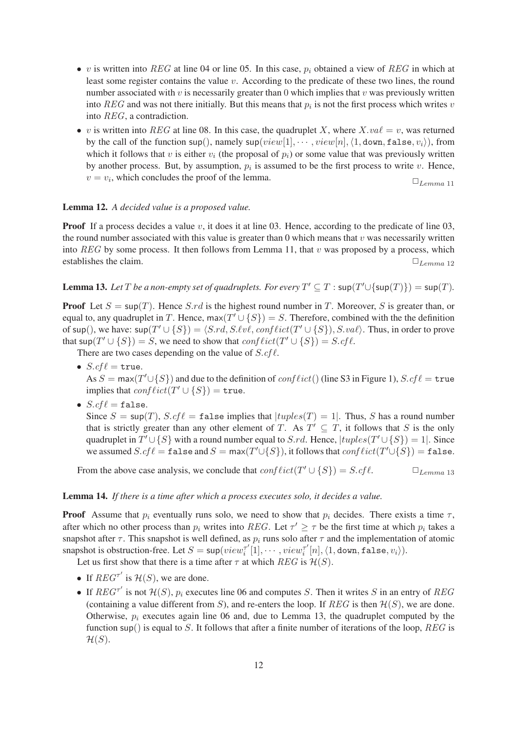- v is written into REG at line 04 or line 05. In this case,  $p_i$  obtained a view of REG in which at least some register contains the value v. According to the predicate of these two lines, the round number associated with v is necessarily greater than 0 which implies that v was previously written into  $REG$  and was not there initially. But this means that  $p_i$  is not the first process which writes v into REG, a contradiction.
- v is written into REG at line 08. In this case, the quadruplet X, where  $X, vac \ell = v$ , was returned by the call of the function sup(), namely sup(view[1],  $\cdots$ , view[n],  $\langle 1, \text{down}, \text{false}, v_i \rangle$ }, from which it follows that v is either  $v_i$  (the proposal of  $p_i$ ) or some value that was previously written by another process. But, by assumption,  $p_i$  is assumed to be the first process to write v. Hence,  $v = v_i$ , which concludes the proof of the lemma.  $\Box$ <sub>Lemma 11</sub>

### Lemma 12. *A decided value is a proposed value.*

**Proof** If a process decides a value v, it does it at line 03. Hence, according to the predicate of line 03, the round number associated with this value is greater than 0 which means that  $v$  was necessarily written into  $REG$  by some process. It then follows from Lemma 11, that v was proposed by a process, which establishes the claim.  $\Box$   $L_{tempa}$  12

**Lemma 13.** Let T be a non-empty set of quadruplets. For every  $T' \subseteq T$  :  $\text{sup}(T' \cup \{\text{sup}(T)\}) = \text{sup}(T)$ .

**Proof** Let  $S = \sup(T)$ . Hence S.rd is the highest round number in T. Moreover, S is greater than, or equal to, any quadruplet in T. Hence, max $(T' \cup \{S\}) = S$ . Therefore, combined with the the definition of sup(), we have:  $\textsf{sup}(T' \cup \{S\}) = \langle S.rd, S.\ell v\ell, \text{conf}\ellict(T' \cup \{S\}), S.\text{val}\rangle$ . Thus, in order to prove that  $\textsf{sup}(T' \cup \{S\}) = S$ , we need to show that  $conflict(T' \cup \{S\}) = S.cf\ell$ .

There are two cases depending on the value of  $S.cf\ell$ .

•  $S.cf\ell$  = true.

As  $S = \max(T' \cup \{S\})$  and due to the definition of  $conflict()$  (line S3 in Figure 1),  $S.cf\ell = \text{true}$ implies that  $conflict(T' \cup \{S\}) = \text{true}.$ 

•  $S.cf\ell = false$ .

Since  $S = \sup(T)$ ,  $S$ .cf  $\ell = \text{false}$  implies that  $|tuples(T) = 1|$ . Thus, S has a round number that is strictly greater than any other element of T. As  $T' \subseteq T$ , it follows that S is the only quadruplet in  $T' \cup \{S\}$  with a round number equal to S.rd. Hence,  $|tuples(T' \cup \{S\}) = 1|$ . Since we assumed  $S.cf\ell = \mathtt{false}$  and  $S = \mathsf{max}(T'\cup\{S\})$ , it follows that  $conflict(T'\cup\{S\}) = \mathtt{false}$ .

From the above case analysis, we conclude that  $conflict(T' \cup \{S\}) = S.cf\ell$ .  $\Box_{Lemma \ 13}$ 

#### Lemma 14. *If there is a time after which a process executes solo, it decides a value.*

**Proof** Assume that  $p_i$  eventually runs solo, we need to show that  $p_i$  decides. There exists a time  $\tau$ , after which no other process than  $p_i$  writes into REG. Let  $\tau' \geq \tau$  be the first time at which  $p_i$  takes a snapshot after  $\tau$ . This snapshot is well defined, as  $p_i$  runs solo after  $\tau$  and the implementation of atomic snapshot is obstruction-free. Let  $S = \sup(view_1^{\tau'})$  $\tau'[1], \cdots, view^{\tau'}_i$  $\mathcal{I}_i^{\tau'}[n], \langle 1, \texttt{down}, \texttt{false}, v_i \rangle).$ 

Let us first show that there is a time after  $\tau$  at which REG is  $\mathcal{H}(S)$ .

- If  $REG^{\tau'}$  is  $\mathcal{H}(S)$ , we are done.
- If  $REG^{\tau'}$  is not  $\mathcal{H}(S)$ ,  $p_i$  executes line 06 and computes S. Then it writes S in an entry of REG (containing a value different from S), and re-enters the loop. If REG is then  $\mathcal{H}(S)$ , we are done. Otherwise,  $p_i$  executes again line 06 and, due to Lemma 13, the quadruplet computed by the function sup() is equal to S. It follows that after a finite number of iterations of the loop,  $REG$  is  $\mathcal{H}(S)$ .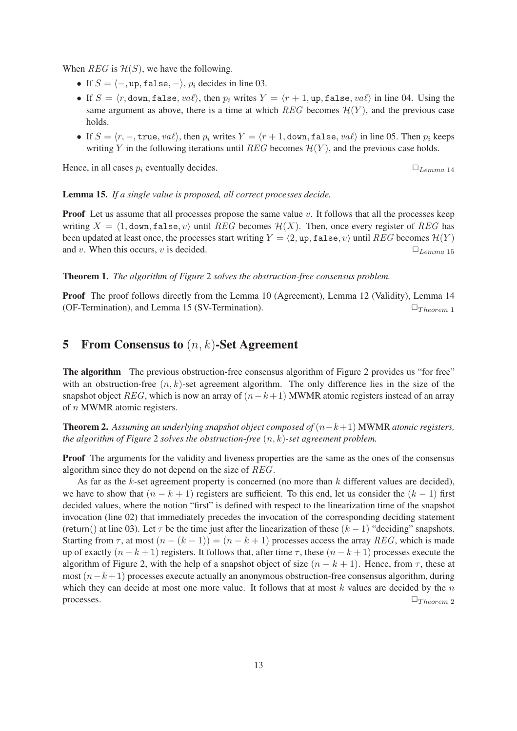When  $REG$  is  $\mathcal{H}(S)$ , we have the following.

- If  $S = \langle -\rangle$ , up, false,  $-\rangle$ ,  $p_i$  decides in line 03.
- If  $S = \langle r, \text{down}, \text{false}, \nu a \ell \rangle$ , then  $p_i$  writes  $Y = \langle r + 1, \text{up}, \text{false}, \nu a \ell \rangle$  in line 04. Using the same argument as above, there is a time at which  $REG$  becomes  $\mathcal{H}(Y)$ , and the previous case holds.
- If  $S = \langle r, -, \text{true}, \text{val}\rangle$ , then  $p_i$  writes  $Y = \langle r + 1, \text{down}, \text{false}, \text{val}\rangle$  in line 05. Then  $p_i$  keeps writing Y in the following iterations until REG becomes  $\mathcal{H}(Y)$ , and the previous case holds.

Hence, in all cases  $p_i$  eventually decides.  $\Box$   $L_{tempa}$  14

Lemma 15. *If a single value is proposed, all correct processes decide.*

**Proof** Let us assume that all processes propose the same value  $v$ . It follows that all the processes keep writing  $X = \langle 1, \text{down}, \text{false}, v \rangle$  until REG becomes  $\mathcal{H}(X)$ . Then, once every register of REG has been updated at least once, the processes start writing  $Y = \langle 2, \text{up}, \text{false}, v \rangle$  until REG becomes  $\mathcal{H}(Y)$ and v. When this occurs, v is decided.  $\Box$   $L_{tempa 15}$ 

Theorem 1. *The algorithm of Figure* 2 *solves the obstruction-free consensus problem.*

Proof The proof follows directly from the Lemma 10 (Agreement), Lemma 12 (Validity), Lemma 14 (OF-Termination), and Lemma 15 (SV-Termination).  $\Box_{Theorem 1}$ 

## 5 From Consensus to  $(n, k)$ -Set Agreement

The algorithm The previous obstruction-free consensus algorithm of Figure 2 provides us "for free" with an obstruction-free  $(n, k)$ -set agreement algorithm. The only difference lies in the size of the snapshot object REG, which is now an array of  $(n-k+1)$  MWMR atomic registers instead of an array of n MWMR atomic registers.

Theorem 2. *Assuming an underlying snapshot object composed of* (n−k+1) MWMR *atomic registers, the algorithm of Figure* 2 *solves the obstruction-free* (n, k)*-set agreement problem.*

Proof The arguments for the validity and liveness properties are the same as the ones of the consensus algorithm since they do not depend on the size of REG.

As far as the  $k$ -set agreement property is concerned (no more than  $k$  different values are decided), we have to show that  $(n - k + 1)$  registers are sufficient. To this end, let us consider the  $(k - 1)$  first decided values, where the notion "first" is defined with respect to the linearization time of the snapshot invocation (line 02) that immediately precedes the invocation of the corresponding deciding statement (return() at line 03). Let  $\tau$  be the time just after the linearization of these  $(k - 1)$  "deciding" snapshots. Starting from  $\tau$ , at most  $(n - (k - 1)) = (n - k + 1)$  processes access the array REG, which is made up of exactly  $(n - k + 1)$  registers. It follows that, after time  $\tau$ , these  $(n - k + 1)$  processes execute the algorithm of Figure 2, with the help of a snapshot object of size  $(n - k + 1)$ . Hence, from  $\tau$ , these at most  $(n-k+1)$  processes execute actually an anonymous obstruction-free consensus algorithm, during which they can decide at most one more value. It follows that at most  $k$  values are decided by the  $n$ processes.  $\Box_{Theorem~2}$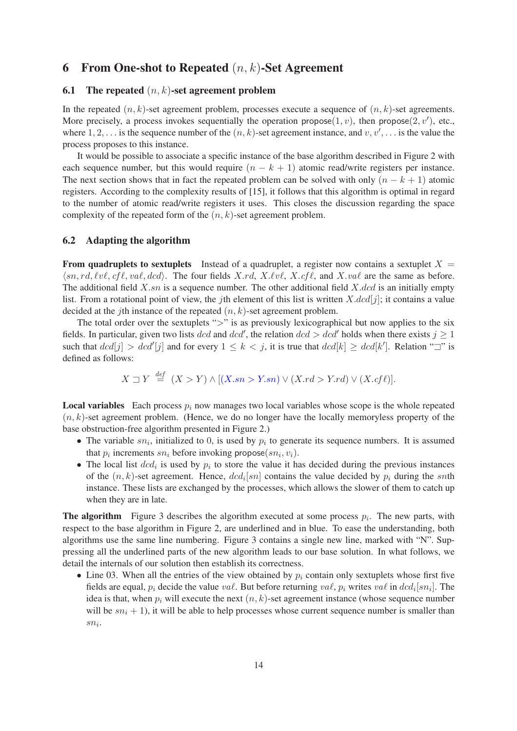### 6 From One-shot to Repeated  $(n, k)$ -Set Agreement

### 6.1 The repeated  $(n, k)$ -set agreement problem

In the repeated  $(n, k)$ -set agreement problem, processes execute a sequence of  $(n, k)$ -set agreements. More precisely, a process invokes sequentially the operation propose $(1, v)$ , then propose $(2, v')$ , etc., where 1, 2, ... is the sequence number of the  $(n, k)$ -set agreement instance, and  $v, v', \ldots$  is the value the process proposes to this instance.

It would be possible to associate a specific instance of the base algorithm described in Figure 2 with each sequence number, but this would require  $(n - k + 1)$  atomic read/write registers per instance. The next section shows that in fact the repeated problem can be solved with only  $(n - k + 1)$  atomic registers. According to the complexity results of [15], it follows that this algorithm is optimal in regard to the number of atomic read/write registers it uses. This closes the discussion regarding the space complexity of the repeated form of the  $(n, k)$ -set agreement problem.

#### 6.2 Adapting the algorithm

**From quadruplets to sextuplets** Instead of a quadruplet, a register now contains a sextuplet  $X =$  $\langle sn, rd, \ell v\ell, cf\ell, val, dcd \rangle$ . The four fields X.rd, X. $\ell v\ell$ , X.cfl, and X.val are the same as before. The additional field  $X$ .sn is a sequence number. The other additional field  $X$ .dcd is an initially empty list. From a rotational point of view, the jth element of this list is written  $X.dcd[j]$ ; it contains a value decided at the *j*th instance of the repeated  $(n, k)$ -set agreement problem.

The total order over the sextuplets ">" is as previously lexicographical but now applies to the six fields. In particular, given two lists dcd and dcd', the relation  $dcd > dcd'$  holds when there exists  $j \ge 1$ such that  $dcd[j] > dcd'[j]$  and for every  $1 \leq k < j$ , it is true that  $dcd[k] \geq dcd[k']$ . Relation " $\exists$ " is defined as follows:

$$
X \sqsupset Y \stackrel{def}{=} (X > Y) \land [(X, sn > Y, sn) \lor (X, rd > Y, rd) \lor (X, cf \ell)].
$$

**Local variables** Each process  $p_i$  now manages two local variables whose scope is the whole repeated  $(n, k)$ -set agreement problem. (Hence, we do no longer have the locally memoryless property of the base obstruction-free algorithm presented in Figure 2.)

- The variable  $sn_i$ , initialized to 0, is used by  $p_i$  to generate its sequence numbers. It is assumed that  $p_i$  increments  $sn_i$  before invoking propose $(sn_i, v_i)$ .
- The local list  $dcd_i$  is used by  $p_i$  to store the value it has decided during the previous instances of the  $(n, k)$ -set agreement. Hence,  $d c d_i$ [sn] contains the value decided by  $p_i$  during the snth instance. These lists are exchanged by the processes, which allows the slower of them to catch up when they are in late.

**The algorithm** Figure 3 describes the algorithm executed at some process  $p_i$ . The new parts, with respect to the base algorithm in Figure 2, are underlined and in blue. To ease the understanding, both algorithms use the same line numbering. Figure 3 contains a single new line, marked with "N". Suppressing all the underlined parts of the new algorithm leads to our base solution. In what follows, we detail the internals of our solution then establish its correctness.

• Line 03. When all the entries of the view obtained by  $p_i$  contain only sextuplets whose first five fields are equal,  $p_i$  decide the value  $\mathit{va}\ell$ . But before returning  $\mathit{va}\ell$ ,  $p_i$  writes  $\mathit{va}\ell$  in  $\mathit{dcd}_i[\mathit{sn}_i]$ . The idea is that, when  $p_i$  will execute the next  $(n, k)$ -set agreement instance (whose sequence number will be  $sn_i + 1$ ), it will be able to help processes whose current sequence number is smaller than  $sn_i$ .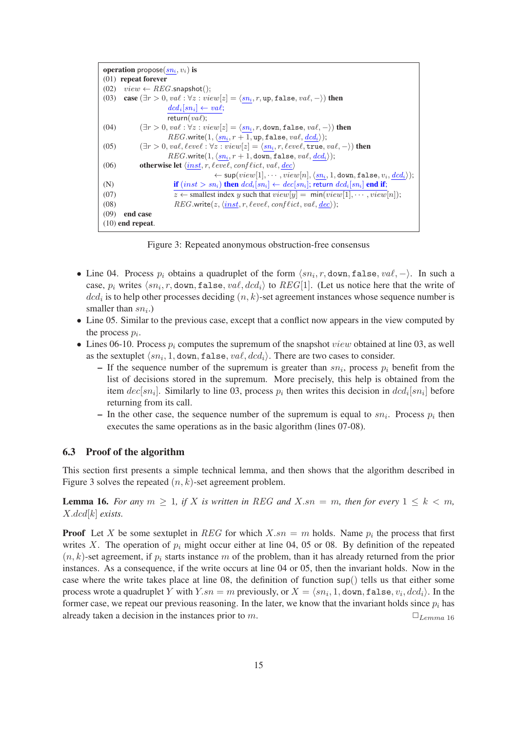```
operation propose(sn_i, v_i) is
(01) repeat forever
(02) view \leftarrow REG.\text{snapshot}();(03) case (\exists r > 0, val : \forall z : view[z] = \langle sn_i, r, up, false, val, -\rangle) then
                           dcd_i[sn_i] \leftarrow val;return(va \ell);
(04) (\exists r > 0, val : \forall z : view[z] = \langle sn_i, r, down, false, val, -\rangle) then
                           REG.write(1, \langle sn_i, r + 1, \text{up}, \text{false}, \text{val}, \text{dcd}_i \rangle);(05) (\exists r > 0, val, level : \forall z : view[z] = \langle sn_i, r, level, \overline{true}, val, -\rangle) then
                           REG.write(1, \langle sn_i, r + 1, \text{down}, \text{false}, \text{val}, \text{dcd}_i \rangle);(06) otherwise let \langle \textit{inst}, r, \textit{level}, \textit{conflict}, \textit{val}, \textit{dec} \rangle\leftarrow sup(view[1], \cdots, view[n], \langle sn_i, 1, \text{down}, \text{false}, v_i, \text{d}cd_i \rangle);(N) if (inst > sn_i) then dcd_i[sn_i] \leftarrow dec[sn_i]; return dcd_i[sn_i] end if;
(07) z \leftarrow smallest index y such that view[y] = min(view[1], \cdots, view[n]);
(08) REG.write(z, \langle inst, r, \ell evel, \text{conf} \ell ict, \text{val}, \text{dec} \rangle);(09) end case
(10) end repeat.
```
Figure 3: Repeated anonymous obstruction-free consensus

- Line 04. Process  $p_i$  obtains a quadruplet of the form  $\langle sn_i, r, \text{down}, \text{false}, \text{val}, \rangle$ . In such a case,  $p_i$  writes  $\langle sn_i, r$ , down, false,  $val, dcd_i \rangle$  to  $REG[1]$ . (Let us notice here that the write of  $dcd_i$  is to help other processes deciding  $(n, k)$ -set agreement instances whose sequence number is smaller than  $sn_i$ .)
- Line 05. Similar to the previous case, except that a conflict now appears in the view computed by the process  $p_i$ .
- Lines 06-10. Process  $p_i$  computes the supremum of the snapshot *view* obtained at line 03, as well as the sextuplet  $\langle sn_i, 1, \text{down}, \text{false}, \text{val}, \text{dcd}_i \rangle$ . There are two cases to consider.
	- If the sequence number of the supremum is greater than  $sn_i$ , process  $p_i$  benefit from the list of decisions stored in the supremum. More precisely, this help is obtained from the item  $dec[sn_i]$ . Similarly to line 03, process  $p_i$  then writes this decision in  $dcd_i[sn_i]$  before returning from its call.
	- In the other case, the sequence number of the supremum is equal to  $sn_i$ . Process  $p_i$  then executes the same operations as in the basic algorithm (lines 07-08).

#### 6.3 Proof of the algorithm

This section first presents a simple technical lemma, and then shows that the algorithm described in Figure 3 solves the repeated  $(n, k)$ -set agreement problem.

**Lemma 16.** For any  $m \geq 1$ , if X is written in REG and X.sn = m, then for every  $1 \leq k \leq m$ , X.dcd[k] *exists.*

**Proof** Let X be some sextuplet in REG for which  $X \cdot sn = m$  holds. Name  $p_i$  the process that first writes X. The operation of  $p_i$  might occur either at line 04, 05 or 08. By definition of the repeated  $(n, k)$ -set agreement, if  $p_i$  starts instance m of the problem, than it has already returned from the prior instances. As a consequence, if the write occurs at line 04 or 05, then the invariant holds. Now in the case where the write takes place at line 08, the definition of function sup() tells us that either some process wrote a quadruplet  $Y$  with  $Y_{.}sn=m$  previously, or  $X=\langle sn_i, 1,$  down, false,  $v_i, dcd_i \rangle$ . In the former case, we repeat our previous reasoning. In the later, we know that the invariant holds since  $p_i$  has already taken a decision in the instances prior to m.  $\Box$   $L_{tempa}$  16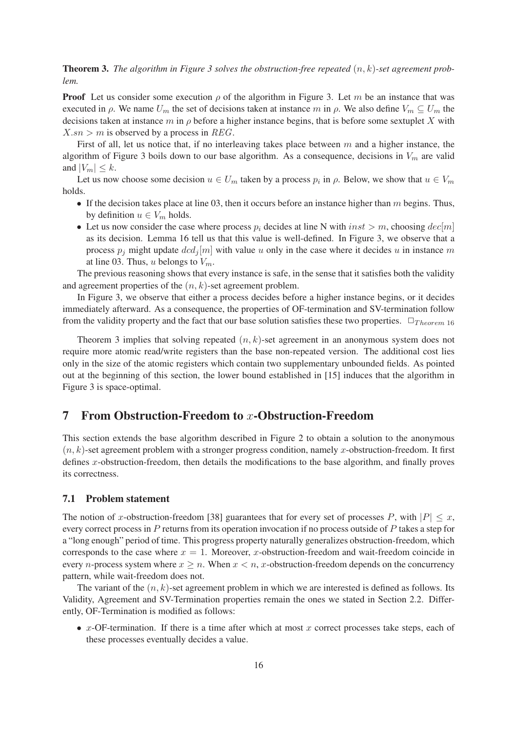**Theorem 3.** The algorithm in Figure 3 solves the obstruction-free repeated  $(n, k)$ -set agreement prob*lem.*

**Proof** Let us consider some execution  $\rho$  of the algorithm in Figure 3. Let m be an instance that was executed in  $\rho$ . We name  $U_m$  the set of decisions taken at instance m in  $\rho$ . We also define  $V_m \subseteq U_m$  the decisions taken at instance  $m$  in  $\rho$  before a higher instance begins, that is before some sextuplet X with  $X$ .sn > m is observed by a process in REG.

First of all, let us notice that, if no interleaving takes place between  $m$  and a higher instance, the algorithm of Figure 3 boils down to our base algorithm. As a consequence, decisions in  $V_m$  are valid and  $|V_m| \leq k$ .

Let us now choose some decision  $u \in U_m$  taken by a process  $p_i$  in  $\rho$ . Below, we show that  $u \in V_m$ holds.

- If the decision takes place at line 03, then it occurs before an instance higher than  $m$  begins. Thus, by definition  $u \in V_m$  holds.
- Let us now consider the case where process  $p_i$  decides at line N with  $inst > m$ , choosing  $dec[m]$ as its decision. Lemma 16 tell us that this value is well-defined. In Figure 3, we observe that a process  $p_j$  might update  $dcd_j[m]$  with value u only in the case where it decides u in instance m at line 03. Thus, u belongs to  $V_m$ .

The previous reasoning shows that every instance is safe, in the sense that it satisfies both the validity and agreement properties of the  $(n, k)$ -set agreement problem.

In Figure 3, we observe that either a process decides before a higher instance begins, or it decides immediately afterward. As a consequence, the properties of OF-termination and SV-termination follow from the validity property and the fact that our base solution satisfies these two properties.  $\Box_{Theorem 16}$ 

Theorem 3 implies that solving repeated  $(n, k)$ -set agreement in an anonymous system does not require more atomic read/write registers than the base non-repeated version. The additional cost lies only in the size of the atomic registers which contain two supplementary unbounded fields. As pointed out at the beginning of this section, the lower bound established in [15] induces that the algorithm in Figure 3 is space-optimal.

## **7** From Obstruction-Freedom to x-Obstruction-Freedom

This section extends the base algorithm described in Figure 2 to obtain a solution to the anonymous  $(n, k)$ -set agreement problem with a stronger progress condition, namely x-obstruction-freedom. It first defines x-obstruction-freedom, then details the modifications to the base algorithm, and finally proves its correctness.

### 7.1 Problem statement

The notion of x-obstruction-freedom [38] guarantees that for every set of processes P, with  $|P| \leq x$ , every correct process in P returns from its operation invocation if no process outside of P takes a step for a "long enough" period of time. This progress property naturally generalizes obstruction-freedom, which corresponds to the case where  $x = 1$ . Moreover, x-obstruction-freedom and wait-freedom coincide in every *n*-process system where  $x \geq n$ . When  $x < n$ , *x*-obstruction-freedom depends on the concurrency pattern, while wait-freedom does not.

The variant of the  $(n, k)$ -set agreement problem in which we are interested is defined as follows. Its Validity, Agreement and SV-Termination properties remain the ones we stated in Section 2.2. Differently, OF-Termination is modified as follows:

•  $x$ -OF-termination. If there is a time after which at most  $x$  correct processes take steps, each of these processes eventually decides a value.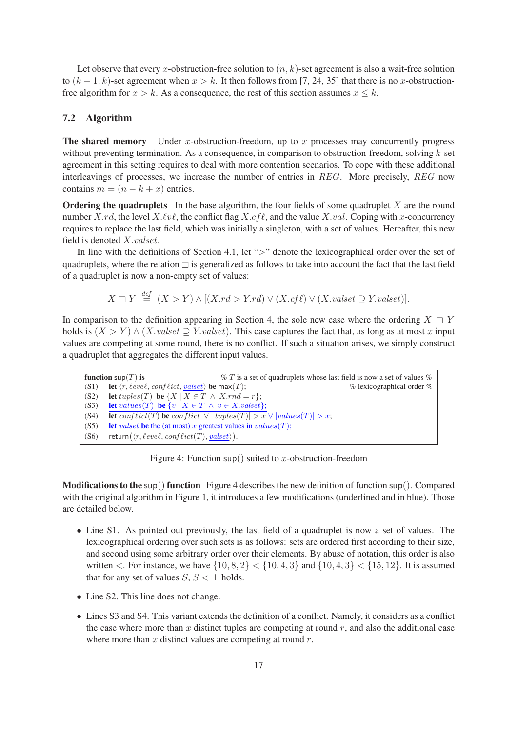Let observe that every x-obstruction-free solution to  $(n, k)$ -set agreement is also a wait-free solution to  $(k + 1, k)$ -set agreement when  $x > k$ . It then follows from [7, 24, 35] that there is no x-obstructionfree algorithm for  $x > k$ . As a consequence, the rest of this section assumes  $x \leq k$ .

### 7.2 Algorithm

**The shared memory** Under x-obstruction-freedom, up to x processes may concurrently progress without preventing termination. As a consequence, in comparison to obstruction-freedom, solving k-set agreement in this setting requires to deal with more contention scenarios. To cope with these additional interleavings of processes, we increase the number of entries in REG. More precisely, REG now contains  $m = (n - k + x)$  entries.

**Ordering the quadruplets** In the base algorithm, the four fields of some quadruplet  $X$  are the round number X.rd, the level  $X.\ell v\ell$ , the conflict flag  $X.cf\ell$ , and the value X.val. Coping with x-concurrency requires to replace the last field, which was initially a singleton, with a set of values. Hereafter, this new field is denoted X.valset.

In line with the definitions of Section 4.1, let ">" denote the lexicographical order over the set of quadruplets, where the relation ⊐ is generalized as follows to take into account the fact that the last field of a quadruplet is now a non-empty set of values:

$$
X \sqsupset Y \stackrel{def}{=} (X > Y) \land [(X.rd > Y.rd) \lor (X.cf\ell) \lor (X.valset \supseteq Y.valset)].
$$

In comparison to the definition appearing in Section 4, the sole new case where the ordering  $X \rightharpoonup Y$ holds is  $(X > Y) \wedge (X, valset \supseteq Y, valset)$ . This case captures the fact that, as long as at most x input values are competing at some round, there is no conflict. If such a situation arises, we simply construct a quadruplet that aggregates the different input values.

|      | function $\sup(T)$ is                                                                            | $\% T$ is a set of quadruplets whose last field is now a set of values $\%$ |                               |
|------|--------------------------------------------------------------------------------------------------|-----------------------------------------------------------------------------|-------------------------------|
| (S1) | <b>let</b> $\langle r, \ell eve\ell, \text{conf} \ell ict, \text{valset} \rangle$ be max $(T)$ ; |                                                                             | $%$ lexicographical order $%$ |
| (S2) | let $tuples(T)$ be $\{X \mid X \in T \land X.rnd = r\};$                                         |                                                                             |                               |
| (S3) | <b>let</b> values(T) <b>be</b> $\{v \mid X \in T \land v \in X.value\};$                         |                                                                             |                               |
| (S4) | <b>let</b> conflict(T) be conflict $\vee$  tuples(T)  $> x \vee$  values(T)  $> x$ ;             |                                                                             |                               |
| (S5) | <b>let</b> values the the (at most) x greatest values in values $(T)$ ;                          |                                                                             |                               |
| (S6) | return $(\langle r, \ell evel, \text{conf} \ellict(T), \text{valset} \rangle).$                  |                                                                             |                               |

Figure 4: Function sup() suited to x-obstruction-freedom

**Modifications to the sup() function** Figure 4 describes the new definition of function sup(). Compared with the original algorithm in Figure 1, it introduces a few modifications (underlined and in blue). Those are detailed below.

- Line S1. As pointed out previously, the last field of a quadruplet is now a set of values. The lexicographical ordering over such sets is as follows: sets are ordered first according to their size, and second using some arbitrary order over their elements. By abuse of notation, this order is also written  $\langle$ . For instance, we have  $\{10, 8, 2\} < \{10, 4, 3\}$  and  $\{10, 4, 3\} < \{15, 12\}$ . It is assumed that for any set of values  $S, S \lt \perp$  holds.
- Line S2. This line does not change.
- Lines S3 and S4. This variant extends the definition of a conflict. Namely, it considers as a conflict the case where more than  $x$  distinct tuples are competing at round  $r$ , and also the additional case where more than  $x$  distinct values are competing at round  $r$ .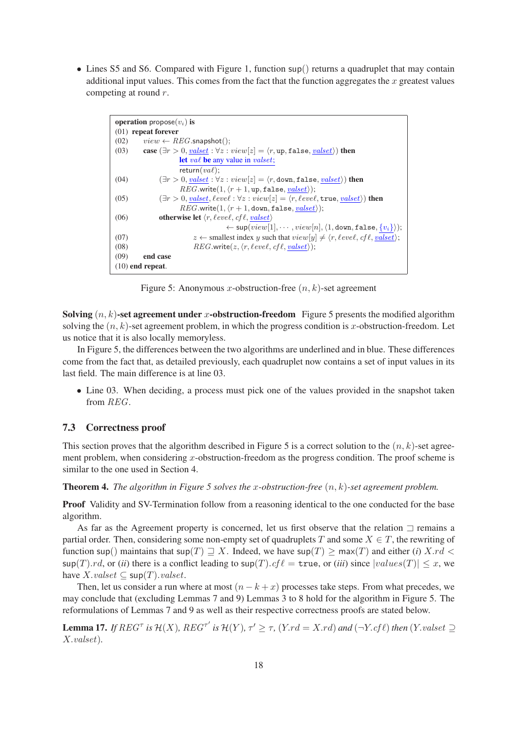• Lines S5 and S6. Compared with Figure 1, function sup() returns a quadruplet that may contain additional input values. This comes from the fact that the function aggregates the  $x$  greatest values competing at round r.

| <b>operation</b> propose $(v_i)$ is                                                                                                        |  |  |  |  |
|--------------------------------------------------------------------------------------------------------------------------------------------|--|--|--|--|
| $(01)$ repeat forever                                                                                                                      |  |  |  |  |
| (02)<br>$view \leftarrow REG.\textsf{snapshot}$ ;                                                                                          |  |  |  |  |
| case $(\exists r > 0, \text{valset}: \forall z : \text{view}[z] = \langle r, \text{up}, \text{false}, \text{valset} \rangle)$ then<br>(03) |  |  |  |  |
| <b>let</b> value only value in valuest;                                                                                                    |  |  |  |  |
| return( $va\ell$ );                                                                                                                        |  |  |  |  |
| $(\exists r > 0, valset : \forall z : view[z] = \langle r, down, false, valset \rangle)$ then<br>(04)                                      |  |  |  |  |
| $REG.write(1, \langle r+1, \text{up}, \text{false}, \text{valset} \rangle);$                                                               |  |  |  |  |
| $(\exists r > 0, valset, level : \forall z : view[z] = \langle r, level, true, valset \rangle)$ then<br>(05)                               |  |  |  |  |
| $REG.write(1, \langle r+1, \text{down}, \text{false}, \text{valset} \rangle);$                                                             |  |  |  |  |
| <b>otherwise let</b> $\langle r, \ell eve \ell, \ell f \ell, \textit{valset} \rangle$<br>(06)                                              |  |  |  |  |
| $\leftarrow$ sup( $view[1], \cdots, view[n], \langle 1, down, false, \{v_i\} \rangle);$                                                    |  |  |  |  |
| $z \leftarrow$ smallest index y such that $view[y] \neq \langle r, \ell eve\ell, \mathit{cf}\ell, \mathit{valset} \rangle;$<br>(07)        |  |  |  |  |
| $REG.write(z, \langle r, \ell evel, \mathit{cfl}, \mathit{valset} \rangle);$<br>(08)                                                       |  |  |  |  |
| (09)<br>end case                                                                                                                           |  |  |  |  |
| $(10)$ end repeat.                                                                                                                         |  |  |  |  |

Figure 5: Anonymous x-obstruction-free  $(n, k)$ -set agreement

Solving  $(n, k)$ -set agreement under x-obstruction-freedom Figure 5 presents the modified algorithm solving the  $(n, k)$ -set agreement problem, in which the progress condition is x-obstruction-freedom. Let us notice that it is also locally memoryless.

In Figure 5, the differences between the two algorithms are underlined and in blue. These differences come from the fact that, as detailed previously, each quadruplet now contains a set of input values in its last field. The main difference is at line 03.

• Line 03. When deciding, a process must pick one of the values provided in the snapshot taken from REG.

### 7.3 Correctness proof

This section proves that the algorithm described in Figure 5 is a correct solution to the  $(n, k)$ -set agreement problem, when considering x-obstruction-freedom as the progress condition. The proof scheme is similar to the one used in Section 4.

Theorem 4. *The algorithm in Figure 5 solves the* x*-obstruction-free* (n, k)*-set agreement problem.*

Proof Validity and SV-Termination follow from a reasoning identical to the one conducted for the base algorithm.

As far as the Agreement property is concerned, let us first observe that the relation ⊐ remains a partial order. Then, considering some non-empty set of quadruplets T and some  $X \in T$ , the rewriting of function sup() maintains that  $\sup(T) \supseteq X$ . Indeed, we have  $\sup(T) \ge \max(T)$  and either (*i*) X.rd <  $\sup(T) \cdot rd$ , or (*ii*) there is a conflict leading to  $\sup(T) \cdot cf \ell = \text{true}$ , or (*iii*) since  $|values(T)| \leq x$ , we have  $X.valueset \subseteq \mathsf{sup}(T).{valset}.$ 

Then, let us consider a run where at most  $(n - k + x)$  processes take steps. From what precedes, we may conclude that (excluding Lemmas 7 and 9) Lemmas 3 to 8 hold for the algorithm in Figure 5. The reformulations of Lemmas 7 and 9 as well as their respective correctness proofs are stated below.

**Lemma 17.** *If*  $REG^{\tau}$  *is*  $\mathcal{H}(X)$ *,*  $REG^{\tau'}$  *is*  $\mathcal{H}(Y)$ *,*  $\tau' \geq \tau$ *,*  $(Y.rd = X.rd)$  *and*  $(\neg Y.c f \ell)$  *then*  $(Y.valset \supseteq Y.cf \ell)$ X.valset)*.*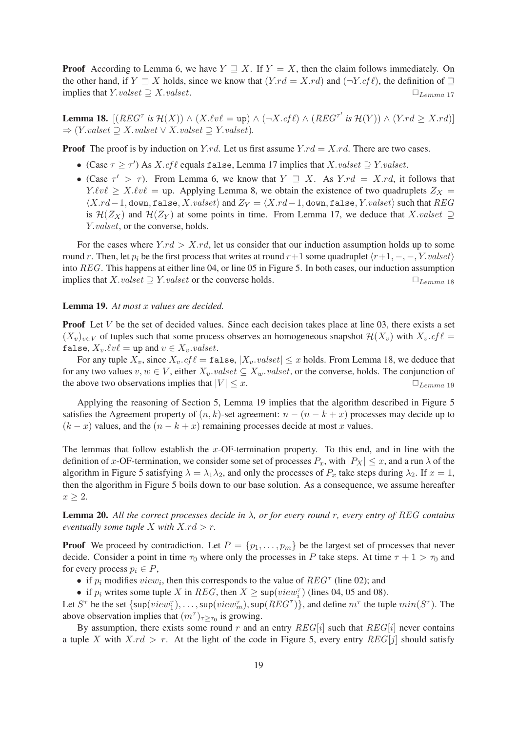**Proof** According to Lemma 6, we have  $Y \supseteq X$ . If  $Y = X$ , then the claim follows immediately. On the other hand, if  $Y \rightharpoonup X$  holds, since we know that  $(Y.rd = X.rd)$  and  $(\neg Y.cf \ell)$ , the definition of  $\rightharpoonup$ implies that  $Y.value \supseteq X.value$ .  $\Box$ 

**Lemma 18.**  $[(REG^{\tau} \text{ is } \mathcal{H}(X)) \wedge (X.\ell v \ell = \text{up}) \wedge (\neg X.\mathit{cf} \ell) \wedge (REG^{\tau'} \text{ is } \mathcal{H}(Y)) \wedge (Y.\mathit{rd} \geq X.\mathit{rd})]$  $\Rightarrow$  (*Y.valset*  $\supseteq$  *X.valset*  $\vee$  *X.valset*  $\supseteq$  *Y.valset*)*.* 

**Proof** The proof is by induction on Y.rd. Let us first assume  $Y$ .rd = X.rd. There are two cases.

- (Case  $\tau \ge \tau'$ ) As X.cfl equals false, Lemma 17 implies that X.valset  $\supseteq$  Y.valset.
- (Case  $\tau' > \tau$ ). From Lemma 6, we know that  $Y \supseteq X$ . As  $Y$ .  $rd = X$ .  $rd$ , it follows that  $Y.\ell v\ell \geq X.\ell v\ell = \text{up}$ . Applying Lemma 8, we obtain the existence of two quadruplets  $Z_X =$  $\langle X.rd-1, \text{down}, \text{false}, X.valset \rangle$  and  $Z_Y = \langle X.rd-1, \text{down}, \text{false}, Y.valset \rangle$  such that  $REG$ is  $\mathcal{H}(Z_X)$  and  $\mathcal{H}(Z_Y)$  at some points in time. From Lemma 17, we deduce that X.valset  $\supseteq$ Y.*valset*, or the converse, holds.

For the cases where  $Y$ .rd  $> X$ .rd, let us consider that our induction assumption holds up to some round r. Then, let  $p_i$  be the first process that writes at round r+1 some quadruplet  $\langle r+1, -, -, Y.value \rangle$ into REG. This happens at either line 04, or line 05 in Figure 5. In both cases, our induction assumption implies that  $X.value \supset Y.value$  or the converse holds.  $\Box$   $L_{lemma}$  18

#### Lemma 19. *At most* x *values are decided.*

**Proof** Let  $V$  be the set of decided values. Since each decision takes place at line 03, there exists a set  $(X_v)_{v\in V}$  of tuples such that some process observes an homogeneous snapshot  $\mathcal{H}(X_v)$  with  $X_v.cf\ell =$ false,  $X_v.\ell v\ell = \text{up}$  and  $v \in X_v.\text{valset}.$ 

For any tuple  $X_v$ , since  $X_v$ .cf  $\ell = \mathtt{false}, |X_v$ .valset  $|\leq x$  holds. From Lemma 18, we deduce that for any two values  $v, w \in V$ , either  $X_v.value \subseteq X_w.value$ , or the converse, holds. The conjunction of the above two observations implies that  $|V| \leq x$ .  $\Box$   $L_{lemma 19}$ 

Applying the reasoning of Section 5, Lemma 19 implies that the algorithm described in Figure 5 satisfies the Agreement property of  $(n, k)$ -set agreement:  $n - (n - k + x)$  processes may decide up to  $(k - x)$  values, and the  $(n - k + x)$  remaining processes decide at most x values.

The lemmas that follow establish the  $x$ -OF-termination property. To this end, and in line with the definition of x-OF-termination, we consider some set of processes  $P_x$ , with  $|P_x| \le x$ , and a run  $\lambda$  of the algorithm in Figure 5 satisfying  $\lambda = \lambda_1 \lambda_2$ , and only the processes of  $P_x$  take steps during  $\lambda_2$ . If  $x = 1$ , then the algorithm in Figure 5 boils down to our base solution. As a consequence, we assume hereafter  $x \geq 2$ .

Lemma 20. *All the correct processes decide in* λ*, or for every round* r*, every entry of* REG *contains eventually some tuple X with*  $X$ *.rd*  $> r$ *.* 

**Proof** We proceed by contradiction. Let  $P = \{p_1, \ldots, p_m\}$  be the largest set of processes that never decide. Consider a point in time  $\tau_0$  where only the processes in P take steps. At time  $\tau + 1 > \tau_0$  and for every process  $p_i \in P$ ,

• if  $p_i$  modifies  $view_i$ , then this corresponds to the value of  $REG^{\tau}$  (line 02); and

• if  $p_i$  writes some tuple X in REG, then  $X \ge \sup(view_i^{\tau})$  (lines 04, 05 and 08).

Let  $S^{\tau}$  be the set  $\{\sup(view_1^{\tau}), \ldots, \sup(view_m^{\tau}), \sup(REG^{\tau})\}$ , and define  $m^{\tau}$  the tuple  $min(S^{\tau})$ . The above observation implies that  $(m^{\tau})_{\tau \geq \tau_0}$  is growing.

By assumption, there exists some round r and an entry  $REG[i]$  such that  $REG[i]$  never contains a tuple X with  $X$ .rd > r. At the light of the code in Figure 5, every entry  $REG[j]$  should satisfy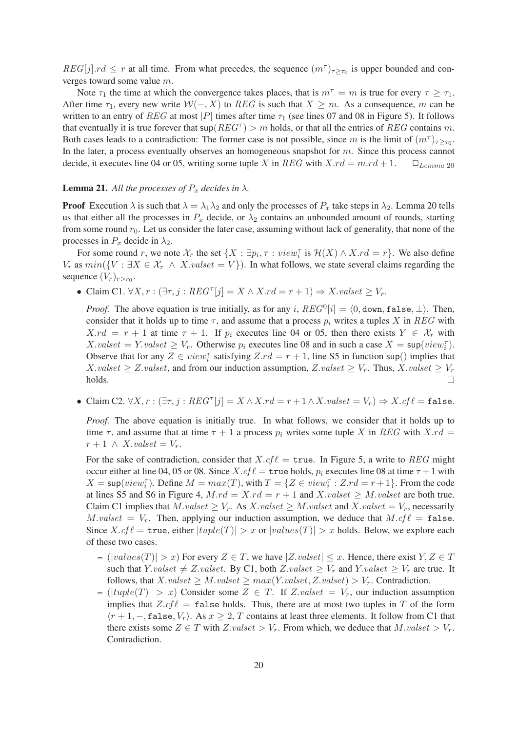$REG[j].rd \leq r$  at all time. From what precedes, the sequence  $(m^{\tau})_{\tau \geq \tau_0}$  is upper bounded and converges toward some value m.

Note  $\tau_1$  the time at which the convergence takes places, that is  $m^{\tau} = m$  is true for every  $\tau \geq \tau_1$ . After time  $\tau_1$ , every new write  $W(-, X)$  to  $REG$  is such that  $X \geq m$ . As a consequence, m can be written to an entry of REG at most |P| times after time  $\tau_1$  (see lines 07 and 08 in Figure 5). It follows that eventually it is true forever that  $\sup(REG^{\tau}) > m$  holds, or that all the entries of  $REG$  contains m. Both cases leads to a contradiction: The former case is not possible, since m is the limit of  $(m^{\tau})_{\tau \geq \tau_0}$ . In the later, a process eventually observes an homogeneous snapshot for  $m$ . Since this process cannot decide, it executes line 04 or 05, writing some tuple X in REG with  $X.rd = m.rd + 1$ .  $\Box$   $L_{lemma 20}$ 

#### **Lemma 21.** All the processes of  $P_x$  decides in  $\lambda$ .

**Proof** Execution  $\lambda$  is such that  $\lambda = \lambda_1 \lambda_2$  and only the processes of  $P_x$  take steps in  $\lambda_2$ . Lemma 20 tells us that either all the processes in  $P_x$  decide, or  $\lambda_2$  contains an unbounded amount of rounds, starting from some round  $r_0$ . Let us consider the later case, assuming without lack of generality, that none of the processes in  $P_x$  decide in  $\lambda_2$ .

For some round r, we note  $\mathcal{X}_r$  the set  $\{X : \exists p_i, \tau : view_i^{\tau} \text{ is } \mathcal{H}(X) \wedge X \cdot rd = r\}$ . We also define  $V_r$  as  $min({V : \exists X \in \mathcal{X}_r \land X.value = V}).$  In what follows, we state several claims regarding the sequence  $(V_r)_{r>r_0}$ .

• Claim C1.  $\forall X, r : (\exists \tau, j : \mathit{REG}^\tau[j] = X \land X.rd = r + 1) \Rightarrow X.values \subseteq V_r$ .

*Proof.* The above equation is true initially, as for any i,  $REG^0[i] = \langle 0, \text{down}, \text{false}, \perp \rangle$ . Then, consider that it holds up to time  $\tau$ , and assume that a process  $p_i$  writes a tuples X in REG with  $X.rd = r + 1$  at time  $\tau + 1$ . If  $p_i$  executes line 04 or 05, then there exists  $Y \in \mathcal{X}_r$  with  $X.values = Y.values \geq V_r$ . Otherwise  $p_i$  executes line 08 and in such a case  $X = \sup(view_i^{\tau})$ . Observe that for any  $Z \in view_i^{\tau}$  satisfying  $Z$ .rd = r + 1, line S5 in function sup() implies that X.valset  $\geq Z.$ valset, and from our induction assumption, Z.valset  $\geq V_r$ . Thus, X.valset  $\geq V_r$ holds.  $\Box$ 

• Claim C2.  $\forall X, r : (\exists \tau, j : \mathit{REG}^\tau[j] = X \land X.rd = r + 1 \land X.values_t = V_r) \Rightarrow X.cf\ell = false.$ 

*Proof.* The above equation is initially true. In what follows, we consider that it holds up to time  $\tau$ , and assume that at time  $\tau + 1$  a process  $p_i$  writes some tuple X in REG with X.rd =  $r+1 \wedge X.value = V_r.$ 

For the sake of contradiction, consider that  $X.cf\ell = \text{true}$ . In Figure 5, a write to REG might occur either at line 04, 05 or 08. Since  $X.cf\ell = \text{true}$  holds,  $p_i$  executes line 08 at time  $\tau + 1$  with  $X = \sup(view_i^{\tau})$ . Define  $M = max(T)$ , with  $T = \{Z \in view_i^{\tau} : Z.rd = r + 1\}$ . From the code at lines S5 and S6 in Figure 4,  $M.rd = X.rd = r + 1$  and  $X.valueset \geq M.valueset$  are both true. Claim C1 implies that  $M.value \geq V_r$ . As  $X.value \geq M.value$  and  $X.value = V_r$ , necessarily M.valset =  $V_r$ . Then, applying our induction assumption, we deduce that  $Mcf\ell = \mathtt{false}$ . Since  $X.cf\ell = \text{true}$ , either  $|tuple(T)| > x$  or  $|values(T)| > x$  holds. Below, we explore each of these two cases.

- $(|values(T)| > x)$  For every  $Z \in T$ , we have  $|Z.value| \leq x$ . Hence, there exist  $Y, Z \in T$ such that Y.valset  $\neq Z. valset$ . By C1, both Z.valset  $\geq V_r$  and Y.valset  $\geq V_r$  are true. It follows, that  $X.value \geq M.value \geq max(Y.value, Z.value) > V_r$ . Contradiction.
- $(|tuple(T)| > x)$  Consider some  $Z \in T$ . If Z.valset =  $V_r$ , our induction assumption implies that  $Z.cf\ell$  = false holds. Thus, there are at most two tuples in T of the form  $\langle r+1,-$ , false,  $V_r$ ). As  $x \ge 2$ , T contains at least three elements. It follow from C1 that there exists some  $Z \in T$  with  $Z.valueset > V_r$ . From which, we deduce that  $M.valueset > V_r$ . Contradiction.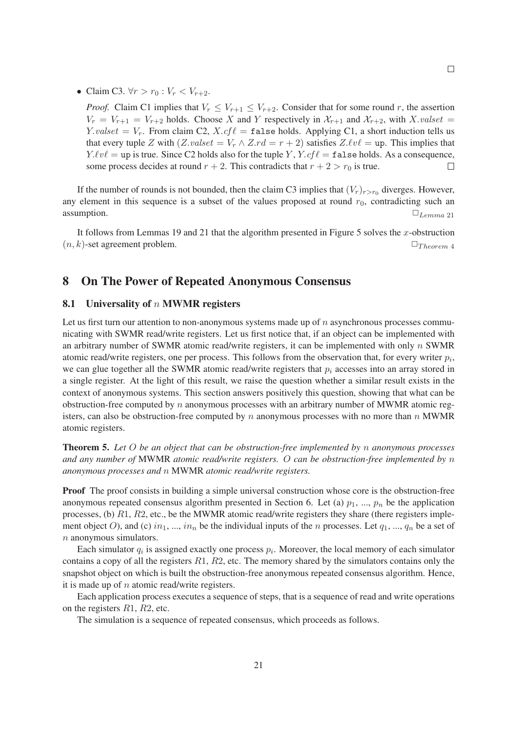• Claim C3.  $\forall r > r_0 : V_r < V_{r+2}$ .

*Proof.* Claim C1 implies that  $V_r \leq V_{r+1} \leq V_{r+2}$ . Consider that for some round r, the assertion  $V_r = V_{r+1} = V_{r+2}$  holds. Choose X and Y respectively in  $\mathcal{X}_{r+1}$  and  $\mathcal{X}_{r+2}$ , with X.valset = Y.valset =  $V_r$ . From claim C2,  $X.cf\ell$  = false holds. Applying C1, a short induction tells us that every tuple Z with  $(Z, valet = V_r \wedge Z.rd = r + 2)$  satisfies  $Z.\ell v \ell = \text{up}$ . This implies that  $Y.\ell v \ell = \text{up is true. Since C2 holds also for the tuple } Y, Y. cf \ell = \text{false holds. As a consequence,}$ some process decides at round  $r + 2$ . This contradicts that  $r + 2 > r_0$  is true.  $\Box$ 

If the number of rounds is not bounded, then the claim C3 implies that  $(V_r)_{r>r_0}$  diverges. However, any element in this sequence is a subset of the values proposed at round  $r_0$ , contradicting such an assumption.  $\Box$ <sub>Lemma 21</sub>

It follows from Lemmas 19 and 21 that the algorithm presented in Figure 5 solves the  $x$ -obstruction  $(n, k)$ -set agreement problem.  $\Box$ Theorem 4

## 8 On The Power of Repeated Anonymous Consensus

### 8.1 Universality of  $n$  MWMR registers

Let us first turn our attention to non-anonymous systems made up of  $n$  asynchronous processes communicating with SWMR read/write registers. Let us first notice that, if an object can be implemented with an arbitrary number of SWMR atomic read/write registers, it can be implemented with only  $n$  SWMR atomic read/write registers, one per process. This follows from the observation that, for every writer  $p_i$ , we can glue together all the SWMR atomic read/write registers that  $p_i$  accesses into an array stored in a single register. At the light of this result, we raise the question whether a similar result exists in the context of anonymous systems. This section answers positively this question, showing that what can be obstruction-free computed by  $n$  anonymous processes with an arbitrary number of MWMR atomic registers, can also be obstruction-free computed by n anonymous processes with no more than  $n$  MWMR atomic registers.

Theorem 5. *Let* O *be an object that can be obstruction-free implemented by* n *anonymous processes and any number of* MWMR *atomic read/write registers.* O *can be obstruction-free implemented by* n *anonymous processes and* n MWMR *atomic read/write registers.*

Proof The proof consists in building a simple universal construction whose core is the obstruction-free anonymous repeated consensus algorithm presented in Section 6. Let (a)  $p_1$ , ...,  $p_n$  be the application processes, (b) R1, R2, etc., be the MWMR atomic read/write registers they share (there registers implement object O), and (c)  $in_1, ..., in_n$  be the individual inputs of the n processes. Let  $q_1, ..., q_n$  be a set of n anonymous simulators.

Each simulator  $q_i$  is assigned exactly one process  $p_i$ . Moreover, the local memory of each simulator contains a copy of all the registers  $R_1$ ,  $R_2$ , etc. The memory shared by the simulators contains only the snapshot object on which is built the obstruction-free anonymous repeated consensus algorithm. Hence, it is made up of  $n$  atomic read/write registers.

Each application process executes a sequence of steps, that is a sequence of read and write operations on the registers R1, R2, etc.

The simulation is a sequence of repeated consensus, which proceeds as follows.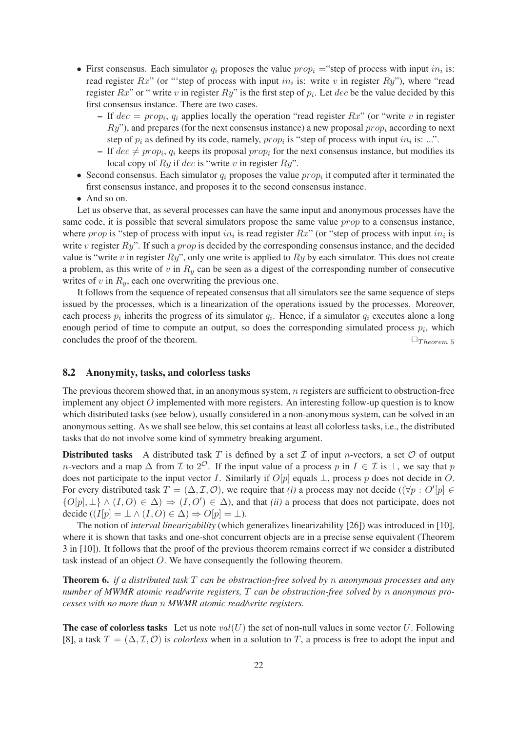- First consensus. Each simulator  $q_i$  proposes the value  $prop_i = "step of process with input in_i is:$ read register  $Rx$ " (or "step of process with input in<sub>i</sub> is: write v in register  $Ry$ "), where "read register  $Rx$ " or " write v in register  $Ry$ " is the first step of  $p_i$ . Let  $dec$  be the value decided by this first consensus instance. There are two cases.
	- If  $dec = prop_i$ ,  $q_i$  applies locally the operation "read register  $Rx$ " (or "write v in register  $Ry$ "), and prepares (for the next consensus instance) a new proposal  $prop<sub>i</sub>$  according to next step of  $p_i$  as defined by its code, namely,  $prop_i$  is "step of process with input  $in_i$  is: ...".
	- If  $dec \neq prop_i$ ,  $q_i$  keeps its proposal  $prop_i$  for the next consensus instance, but modifies its local copy of  $Ry$  if dec is "write v in register  $Ry$ ".
- Second consensus. Each simulator  $q_i$  proposes the value  $prop_i$  it computed after it terminated the first consensus instance, and proposes it to the second consensus instance.
- And so on.

Let us observe that, as several processes can have the same input and anonymous processes have the same code, it is possible that several simulators propose the same value prop to a consensus instance, where prop is "step of process with input  $in_i$  is read register  $Rx$ " (or "step of process with input  $in_i$  is write v register  $Ry$ ". If such a *prop* is decided by the corresponding consensus instance, and the decided value is "write v in register  $Ry$ ", only one write is applied to  $Ry$  by each simulator. This does not create a problem, as this write of v in  $R_y$  can be seen as a digest of the corresponding number of consecutive writes of  $v$  in  $R<sub>v</sub>$ , each one overwriting the previous one.

It follows from the sequence of repeated consensus that all simulators see the same sequence of steps issued by the processes, which is a linearization of the operations issued by the processes. Moreover, each process  $p_i$  inherits the progress of its simulator  $q_i$ . Hence, if a simulator  $q_i$  executes alone a long enough period of time to compute an output, so does the corresponding simulated process  $p_i$ , which concludes the proof of the theorem.  $\Box_{Theorem 5}$ 

#### 8.2 Anonymity, tasks, and colorless tasks

The previous theorem showed that, in an anonymous system, n registers are sufficient to obstruction-free implement any object  $O$  implemented with more registers. An interesting follow-up question is to know which distributed tasks (see below), usually considered in a non-anonymous system, can be solved in an anonymous setting. As we shall see below, this set contains at least all colorless tasks, i.e., the distributed tasks that do not involve some kind of symmetry breaking argument.

**Distributed tasks** A distributed task T is defined by a set  $\mathcal I$  of input n-vectors, a set  $\mathcal O$  of output *n*-vectors and a map  $\Delta$  from  $\mathcal I$  to  $2^{\mathcal O}$ . If the input value of a process p in  $I \in \mathcal I$  is  $\bot$ , we say that p does not participate to the input vector I. Similarly if  $O[p]$  equals  $\perp$ , process p does not decide in O. For every distributed task  $T = (\Delta, \mathcal{I}, \mathcal{O})$ , we require that *(i)* a process may not decide  $((\forall p : O'[p]) \in$  $\{O[p], \perp\} \wedge (I, O) \in \Delta$   $\Rightarrow (I, O') \in \Delta$ , and that *(ii)* a process that does not participate, does not decide  $((I[p] = \bot \land (I, O) \in \Delta) \Rightarrow O[p] = \bot).$ 

The notion of *interval linearizability* (which generalizes linearizability [26]) was introduced in [10], where it is shown that tasks and one-shot concurrent objects are in a precise sense equivalent (Theorem 3 in [10]). It follows that the proof of the previous theorem remains correct if we consider a distributed task instead of an object O. We have consequently the following theorem.

Theorem 6. *if a distributed task* T *can be obstruction-free solved by* n *anonymous processes and any number of MWMR atomic read/write registers,* T *can be obstruction-free solved by* n *anonymous processes with no more than* n *MWMR atomic read/write registers.*

**The case of colorless tasks** Let us note  $val(U)$  the set of non-null values in some vector U. Following [8], a task  $T = (\Delta, \mathcal{I}, \mathcal{O})$  is *colorless* when in a solution to T, a process is free to adopt the input and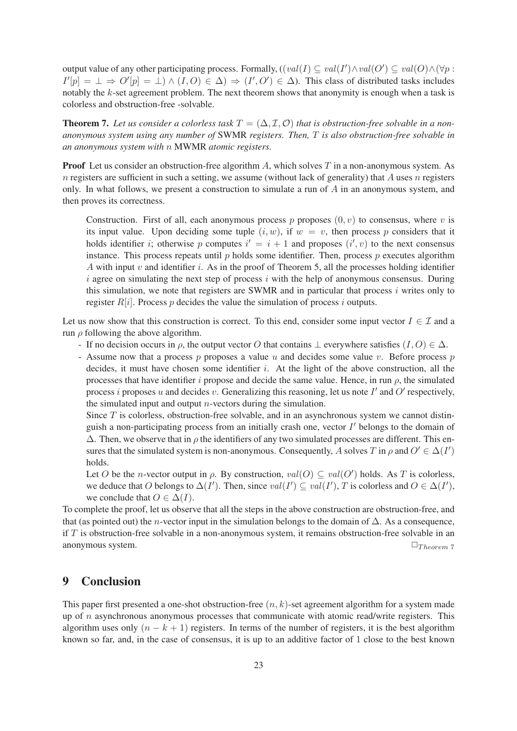output value of any other participating process. Formally,  $((val(I) \subseteq val(I') \land val(O') \subseteq val(O) \land (\forall p :$  $I'[p] = \perp \Rightarrow O'[p] = \perp \wedge (I, O) \in \Delta) \Rightarrow (I', O') \in \Delta$ ). This class of distributed tasks includes notably the  $k$ -set agreement problem. The next theorem shows that anonymity is enough when a task is colorless and obstruction-free -solvable.

**Theorem 7.** Let us consider a colorless task  $T = (\Delta, \mathcal{I}, \mathcal{O})$  that is obstruction-free solvable in a non*anonymous system using any number of* SWMR *registers. Then,* T *is also obstruction-free solvable in an anonymous system with* n MWMR *atomic registers.*

**Proof** Let us consider an obstruction-free algorithm A, which solves  $T$  in a non-anonymous system. As n registers are sufficient in such a setting, we assume (without lack of generality) that A uses n registers only. In what follows, we present a construction to simulate a run of  $\hat{A}$  in an anonymous system, and then proves its correctness.

Construction. First of all, each anonymous process p proposes  $(0, v)$  to consensus, where v is its input value. Upon deciding some tuple  $(i, w)$ , if  $w = v$ , then process p considers that it holds identifier i; otherwise p computes  $i' = i + 1$  and proposes  $(i', v)$  to the next consensus instance. This process repeats until  $p$  holds some identifier. Then, process  $p$  executes algorithm A with input  $v$  and identifier  $i$ . As in the proof of Theorem 5, all the processes holding identifier i agree on simulating the next step of process i with the help of anonymous consensus. During this simulation, we note that registers are SWMR and in particular that process  $i$  writes only to register  $R[i]$ . Process p decides the value the simulation of process i outputs.

Let us now show that this construction is correct. To this end, consider some input vector  $I \in \mathcal{I}$  and a run  $\rho$  following the above algorithm.

- If no decision occurs in  $\rho$ , the output vector O that contains  $\bot$  everywhere satisfies  $(I, O) \in \Delta$ .
- Assume now that a process p proposes a value u and decides some value v. Before process  $p$ decides, it must have chosen some identifier  $i$ . At the light of the above construction, all the processes that have identifier i propose and decide the same value. Hence, in run  $\rho$ , the simulated process i proposes u and decides v. Generalizing this reasoning, let us note  $I'$  and  $O'$  respectively, the simulated input and output  $n$ -vectors during the simulation.

Since  $T$  is colorless, obstruction-free solvable, and in an asynchronous system we cannot distinguish a non-participating process from an initially crash one, vector  $I'$  belongs to the domain of  $\Delta$ . Then, we observe that in  $\rho$  the identifiers of any two simulated processes are different. This ensures that the simulated system is non-anonymous. Consequently, A solves T in  $\rho$  and  $O' \in \Delta(I')$ holds.

Let O be the *n*-vector output in  $\rho$ . By construction,  $val(O) \subseteq val(O')$  holds. As T is colorless, we deduce that O belongs to  $\Delta(I')$ . Then, since  $val(I') \subseteq val(I')$ , T is colorless and  $O \in \Delta(I')$ , we conclude that  $O \in \Delta(I)$ .

To complete the proof, let us observe that all the steps in the above construction are obstruction-free, and that (as pointed out) the *n*-vector input in the simulation belongs to the domain of  $\Delta$ . As a consequence, if  $T$  is obstruction-free solvable in a non-anonymous system, it remains obstruction-free solvable in an anonymous system.  $\Box$ Theorem 7

### 9 Conclusion

This paper first presented a one-shot obstruction-free  $(n, k)$ -set agreement algorithm for a system made up of  $n$  asynchronous anonymous processes that communicate with atomic read/write registers. This algorithm uses only  $(n - k + 1)$  registers. In terms of the number of registers, it is the best algorithm known so far, and, in the case of consensus, it is up to an additive factor of 1 close to the best known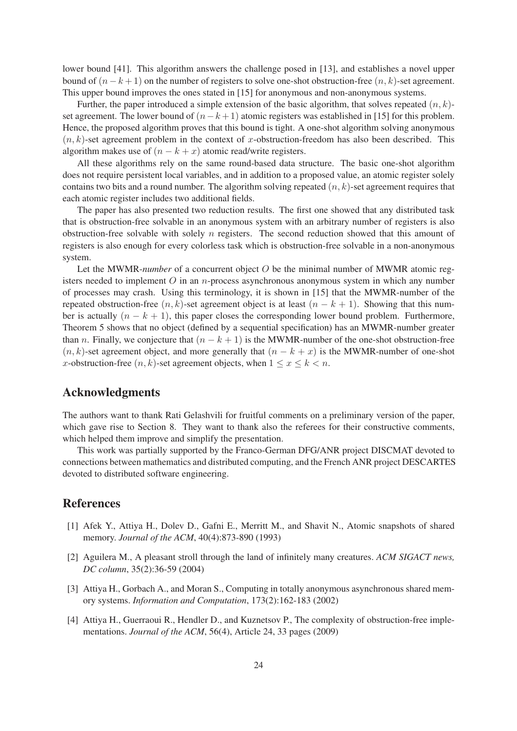lower bound [41]. This algorithm answers the challenge posed in [13], and establishes a novel upper bound of  $(n-k+1)$  on the number of registers to solve one-shot obstruction-free  $(n, k)$ -set agreement. This upper bound improves the ones stated in [15] for anonymous and non-anonymous systems.

Further, the paper introduced a simple extension of the basic algorithm, that solves repeated  $(n, k)$ set agreement. The lower bound of  $(n-k+1)$  atomic registers was established in [15] for this problem. Hence, the proposed algorithm proves that this bound is tight. A one-shot algorithm solving anonymous  $(n, k)$ -set agreement problem in the context of x-obstruction-freedom has also been described. This algorithm makes use of  $(n - k + x)$  atomic read/write registers.

All these algorithms rely on the same round-based data structure. The basic one-shot algorithm does not require persistent local variables, and in addition to a proposed value, an atomic register solely contains two bits and a round number. The algorithm solving repeated  $(n, k)$ -set agreement requires that each atomic register includes two additional fields.

The paper has also presented two reduction results. The first one showed that any distributed task that is obstruction-free solvable in an anonymous system with an arbitrary number of registers is also obstruction-free solvable with solely  $n$  registers. The second reduction showed that this amount of registers is also enough for every colorless task which is obstruction-free solvable in a non-anonymous system.

Let the MWMR-*number* of a concurrent object O be the minimal number of MWMR atomic registers needed to implement  $O$  in an *n*-process asynchronous anonymous system in which any number of processes may crash. Using this terminology, it is shown in [15] that the MWMR-number of the repeated obstruction-free  $(n, k)$ -set agreement object is at least  $(n - k + 1)$ . Showing that this number is actually  $(n - k + 1)$ , this paper closes the corresponding lower bound problem. Furthermore, Theorem 5 shows that no object (defined by a sequential specification) has an MWMR-number greater than *n*. Finally, we conjecture that  $(n - k + 1)$  is the MWMR-number of the one-shot obstruction-free  $(n, k)$ -set agreement object, and more generally that  $(n - k + x)$  is the MWMR-number of one-shot x-obstruction-free  $(n, k)$ -set agreement objects, when  $1 \le x \le k < n$ .

### Acknowledgments

The authors want to thank Rati Gelashvili for fruitful comments on a preliminary version of the paper, which gave rise to Section 8. They want to thank also the referees for their constructive comments, which helped them improve and simplify the presentation.

This work was partially supported by the Franco-German DFG/ANR project DISCMAT devoted to connections between mathematics and distributed computing, and the French ANR project DESCARTES devoted to distributed software engineering.

## **References**

- [1] Afek Y., Attiya H., Dolev D., Gafni E., Merritt M., and Shavit N., Atomic snapshots of shared memory. *Journal of the ACM*, 40(4):873-890 (1993)
- [2] Aguilera M., A pleasant stroll through the land of infinitely many creatures. *ACM SIGACT news, DC column*, 35(2):36-59 (2004)
- [3] Attiya H., Gorbach A., and Moran S., Computing in totally anonymous asynchronous shared memory systems. *Information and Computation*, 173(2):162-183 (2002)
- [4] Attiya H., Guerraoui R., Hendler D., and Kuznetsov P., The complexity of obstruction-free implementations. *Journal of the ACM*, 56(4), Article 24, 33 pages (2009)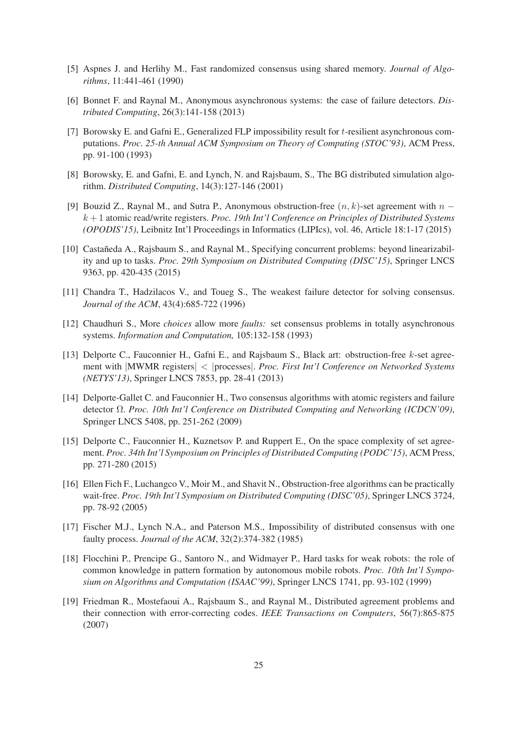- [5] Aspnes J. and Herlihy M., Fast randomized consensus using shared memory. *Journal of Algorithms*, 11:441-461 (1990)
- [6] Bonnet F. and Raynal M., Anonymous asynchronous systems: the case of failure detectors. *Distributed Computing*, 26(3):141-158 (2013)
- [7] Borowsky E. and Gafni E., Generalized FLP impossibility result for t-resilient asynchronous computations. *Proc. 25-th Annual ACM Symposium on Theory of Computing (STOC'93)*, ACM Press, pp. 91-100 (1993)
- [8] Borowsky, E. and Gafni, E. and Lynch, N. and Rajsbaum, S., The BG distributed simulation algorithm. *Distributed Computing*, 14(3):127-146 (2001)
- [9] Bouzid Z., Raynal M., and Sutra P., Anonymous obstruction-free  $(n, k)$ -set agreement with  $n$ k + 1 atomic read/write registers. *Proc. 19th Int'l Conference on Principles of Distributed Systems (OPODIS'15)*, Leibnitz Int'l Proceedings in Informatics (LIPIcs), vol. 46, Article 18:1-17 (2015)
- [10] Castañeda A., Rajsbaum S., and Raynal M., Specifying concurrent problems: beyond linearizability and up to tasks. *Proc. 29th Symposium on Distributed Computing (DISC'15)*, Springer LNCS 9363, pp. 420-435 (2015)
- [11] Chandra T., Hadzilacos V., and Toueg S., The weakest failure detector for solving consensus. *Journal of the ACM*, 43(4):685-722 (1996)
- [12] Chaudhuri S., More *choices* allow more *faults:* set consensus problems in totally asynchronous systems. *Information and Computation,* 105:132-158 (1993)
- [13] Delporte C., Fauconnier H., Gafni E., and Rajsbaum S., Black art: obstruction-free k-set agreement with |MWMR registers| < |processes|. *Proc. First Int'l Conference on Networked Systems (NETYS'13)*, Springer LNCS 7853, pp. 28-41 (2013)
- [14] Delporte-Gallet C. and Fauconnier H., Two consensus algorithms with atomic registers and failure detector Ω. *Proc. 10th Int'l Conference on Distributed Computing and Networking (ICDCN'09)*, Springer LNCS 5408, pp. 251-262 (2009)
- [15] Delporte C., Fauconnier H., Kuznetsov P. and Ruppert E., On the space complexity of set agreement. *Proc. 34th Int'l Symposium on Principles of Distributed Computing (PODC'15)*, ACM Press, pp. 271-280 (2015)
- [16] Ellen Fich F., Luchangco V., Moir M., and Shavit N., Obstruction-free algorithms can be practically wait-free. *Proc. 19th Int'l Symposium on Distributed Computing (DISC'05)*, Springer LNCS 3724, pp. 78-92 (2005)
- [17] Fischer M.J., Lynch N.A., and Paterson M.S., Impossibility of distributed consensus with one faulty process. *Journal of the ACM*, 32(2):374-382 (1985)
- [18] Flocchini P., Prencipe G., Santoro N., and Widmayer P., Hard tasks for weak robots: the role of common knowledge in pattern formation by autonomous mobile robots. *Proc. 10th Int'l Symposium on Algorithms and Computation (ISAAC'99)*, Springer LNCS 1741, pp. 93-102 (1999)
- [19] Friedman R., Mostefaoui A., Rajsbaum S., and Raynal M., Distributed agreement problems and their connection with error-correcting codes. *IEEE Transactions on Computers*, 56(7):865-875 (2007)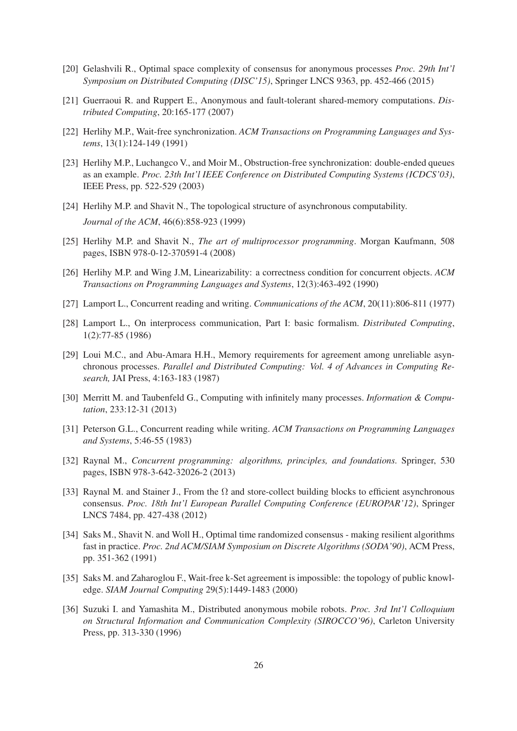- [20] Gelashvili R., Optimal space complexity of consensus for anonymous processes *Proc. 29th Int'l Symposium on Distributed Computing (DISC'15)*, Springer LNCS 9363, pp. 452-466 (2015)
- [21] Guerraoui R. and Ruppert E., Anonymous and fault-tolerant shared-memory computations. *Distributed Computing*, 20:165-177 (2007)
- [22] Herlihy M.P., Wait-free synchronization. *ACM Transactions on Programming Languages and Systems*, 13(1):124-149 (1991)
- [23] Herlihy M.P., Luchangco V., and Moir M., Obstruction-free synchronization: double-ended queues as an example. *Proc. 23th Int'l IEEE Conference on Distributed Computing Systems (ICDCS'03)*, IEEE Press, pp. 522-529 (2003)
- [24] Herlihy M.P. and Shavit N., The topological structure of asynchronous computability. *Journal of the ACM*, 46(6):858-923 (1999)
- [25] Herlihy M.P. and Shavit N., *The art of multiprocessor programming*. Morgan Kaufmann, 508 pages, ISBN 978-0-12-370591-4 (2008)
- [26] Herlihy M.P. and Wing J.M, Linearizability: a correctness condition for concurrent objects. *ACM Transactions on Programming Languages and Systems*, 12(3):463-492 (1990)
- [27] Lamport L., Concurrent reading and writing. *Communications of the ACM*, 20(11):806-811 (1977)
- [28] Lamport L., On interprocess communication, Part I: basic formalism. *Distributed Computing*, 1(2):77-85 (1986)
- [29] Loui M.C., and Abu-Amara H.H., Memory requirements for agreement among unreliable asynchronous processes. *Parallel and Distributed Computing: Vol. 4 of Advances in Computing Research,* JAI Press, 4:163-183 (1987)
- [30] Merritt M. and Taubenfeld G., Computing with infinitely many processes. *Information & Computation*, 233:12-31 (2013)
- [31] Peterson G.L., Concurrent reading while writing. *ACM Transactions on Programming Languages and Systems*, 5:46-55 (1983)
- [32] Raynal M., *Concurrent programming: algorithms, principles, and foundations.* Springer, 530 pages, ISBN 978-3-642-32026-2 (2013)
- [33] Raynal M. and Stainer J., From the  $\Omega$  and store-collect building blocks to efficient asynchronous consensus. *Proc. 18th Int'l European Parallel Computing Conference (EUROPAR'12)*, Springer LNCS 7484, pp. 427-438 (2012)
- [34] Saks M., Shavit N. and Woll H., Optimal time randomized consensus making resilient algorithms fast in practice. *Proc. 2nd ACM/SIAM Symposium on Discrete Algorithms (SODA'90)*, ACM Press, pp. 351-362 (1991)
- [35] Saks M. and Zaharoglou F., Wait-free k-Set agreement is impossible: the topology of public knowledge. *SIAM Journal Computing* 29(5):1449-1483 (2000)
- [36] Suzuki I. and Yamashita M., Distributed anonymous mobile robots. *Proc. 3rd Int'l Colloquium on Structural Information and Communication Complexity (SIROCCO'96)*, Carleton University Press, pp. 313-330 (1996)